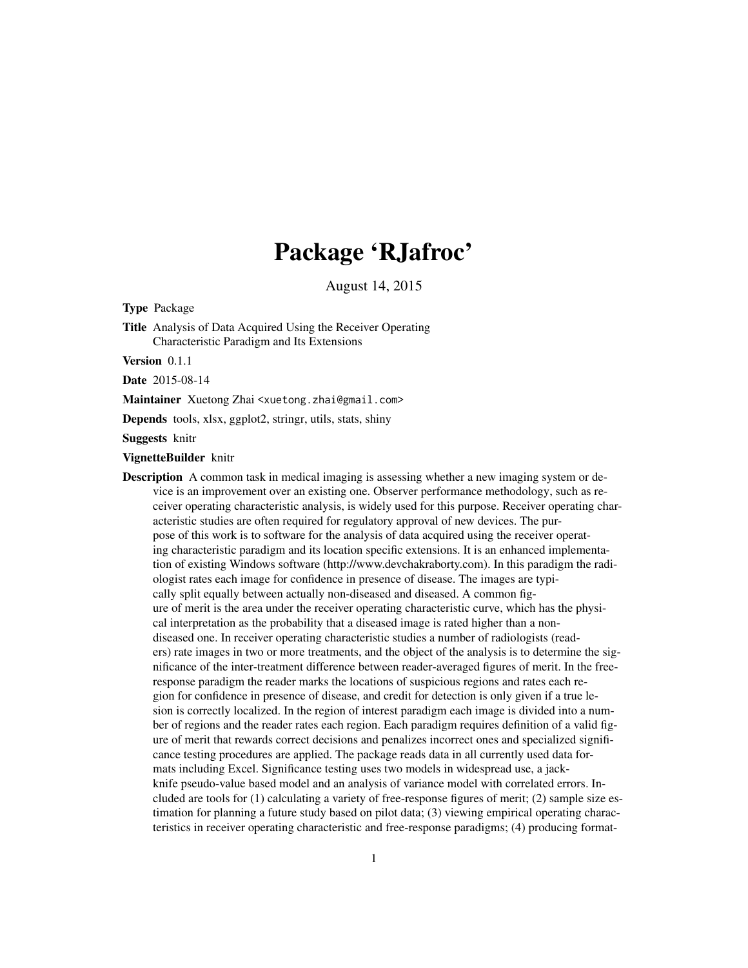## Package 'RJafroc'

August 14, 2015

Type Package

Title Analysis of Data Acquired Using the Receiver Operating Characteristic Paradigm and Its Extensions

Version 0.1.1

Date 2015-08-14

Maintainer Xuetong Zhai <xuetong.zhai@gmail.com>

Depends tools, xlsx, ggplot2, stringr, utils, stats, shiny

Suggests knitr

VignetteBuilder knitr

**Description** A common task in medical imaging is assessing whether a new imaging system or device is an improvement over an existing one. Observer performance methodology, such as receiver operating characteristic analysis, is widely used for this purpose. Receiver operating characteristic studies are often required for regulatory approval of new devices. The purpose of this work is to software for the analysis of data acquired using the receiver operating characteristic paradigm and its location specific extensions. It is an enhanced implementation of existing Windows software (http://www.devchakraborty.com). In this paradigm the radiologist rates each image for confidence in presence of disease. The images are typically split equally between actually non-diseased and diseased. A common figure of merit is the area under the receiver operating characteristic curve, which has the physical interpretation as the probability that a diseased image is rated higher than a nondiseased one. In receiver operating characteristic studies a number of radiologists (readers) rate images in two or more treatments, and the object of the analysis is to determine the significance of the inter-treatment difference between reader-averaged figures of merit. In the freeresponse paradigm the reader marks the locations of suspicious regions and rates each region for confidence in presence of disease, and credit for detection is only given if a true lesion is correctly localized. In the region of interest paradigm each image is divided into a number of regions and the reader rates each region. Each paradigm requires definition of a valid figure of merit that rewards correct decisions and penalizes incorrect ones and specialized significance testing procedures are applied. The package reads data in all currently used data formats including Excel. Significance testing uses two models in widespread use, a jackknife pseudo-value based model and an analysis of variance model with correlated errors. Included are tools for (1) calculating a variety of free-response figures of merit; (2) sample size estimation for planning a future study based on pilot data; (3) viewing empirical operating characteristics in receiver operating characteristic and free-response paradigms; (4) producing format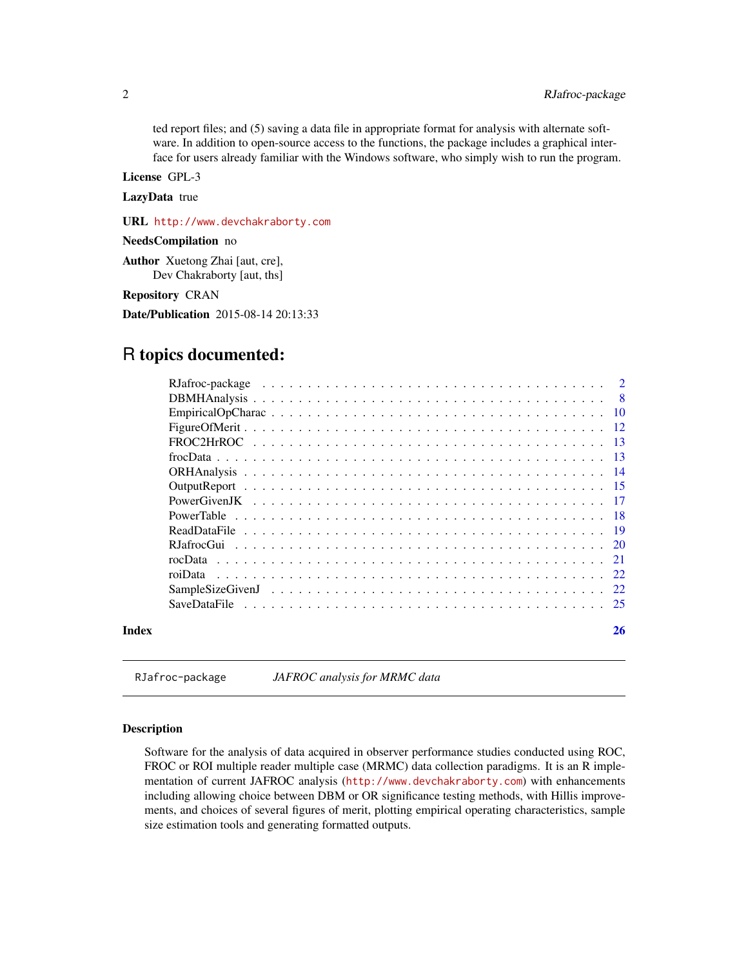<span id="page-1-0"></span>ted report files; and (5) saving a data file in appropriate format for analysis with alternate software. In addition to open-source access to the functions, the package includes a graphical interface for users already familiar with the Windows software, who simply wish to run the program.

License GPL-3

LazyData true

URL <http://www.devchakraborty.com>

NeedsCompilation no

Author Xuetong Zhai [aut, cre], Dev Chakraborty [aut, ths]

Repository CRAN

Date/Publication 2015-08-14 20:13:33

### R topics documented:

| Index | 26 |
|-------|----|

<span id="page-1-1"></span>RJafroc-package *JAFROC analysis for MRMC data*

#### Description

Software for the analysis of data acquired in observer performance studies conducted using ROC, FROC or ROI multiple reader multiple case (MRMC) data collection paradigms. It is an R implementation of current JAFROC analysis (<http://www.devchakraborty.com>) with enhancements including allowing choice between DBM or OR significance testing methods, with Hillis improvements, and choices of several figures of merit, plotting empirical operating characteristics, sample size estimation tools and generating formatted outputs.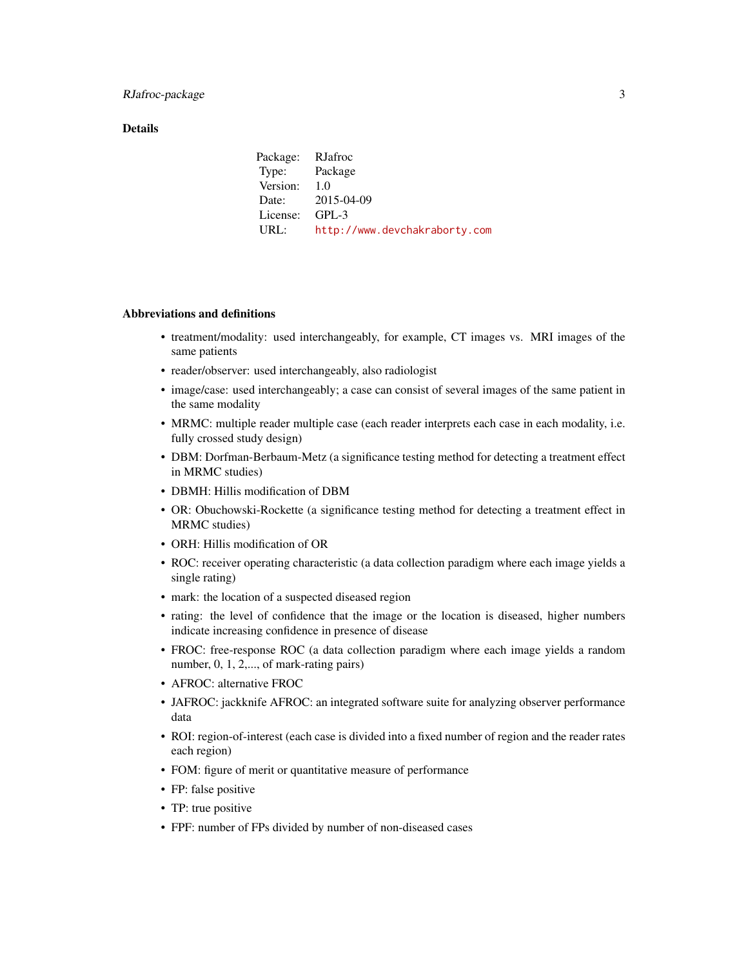#### **Details**

| Package: RJafroc |                               |
|------------------|-------------------------------|
| Type: Package    |                               |
| Version:         | $-1.0$                        |
|                  | Date: 2015-04-09              |
| License:         | $GPI - 3$                     |
| URL:             | http://www.devchakraborty.com |

#### Abbreviations and definitions

- treatment/modality: used interchangeably, for example, CT images vs. MRI images of the same patients
- reader/observer: used interchangeably, also radiologist
- image/case: used interchangeably; a case can consist of several images of the same patient in the same modality
- MRMC: multiple reader multiple case (each reader interprets each case in each modality, i.e. fully crossed study design)
- DBM: Dorfman-Berbaum-Metz (a significance testing method for detecting a treatment effect in MRMC studies)
- DBMH: Hillis modification of DBM
- OR: Obuchowski-Rockette (a significance testing method for detecting a treatment effect in MRMC studies)
- ORH: Hillis modification of OR
- ROC: receiver operating characteristic (a data collection paradigm where each image yields a single rating)
- mark: the location of a suspected diseased region
- rating: the level of confidence that the image or the location is diseased, higher numbers indicate increasing confidence in presence of disease
- FROC: free-response ROC (a data collection paradigm where each image yields a random number, 0, 1, 2,..., of mark-rating pairs)
- AFROC: alternative FROC
- JAFROC: jackknife AFROC: an integrated software suite for analyzing observer performance data
- ROI: region-of-interest (each case is divided into a fixed number of region and the reader rates each region)
- FOM: figure of merit or quantitative measure of performance
- FP: false positive
- TP: true positive
- FPF: number of FPs divided by number of non-diseased cases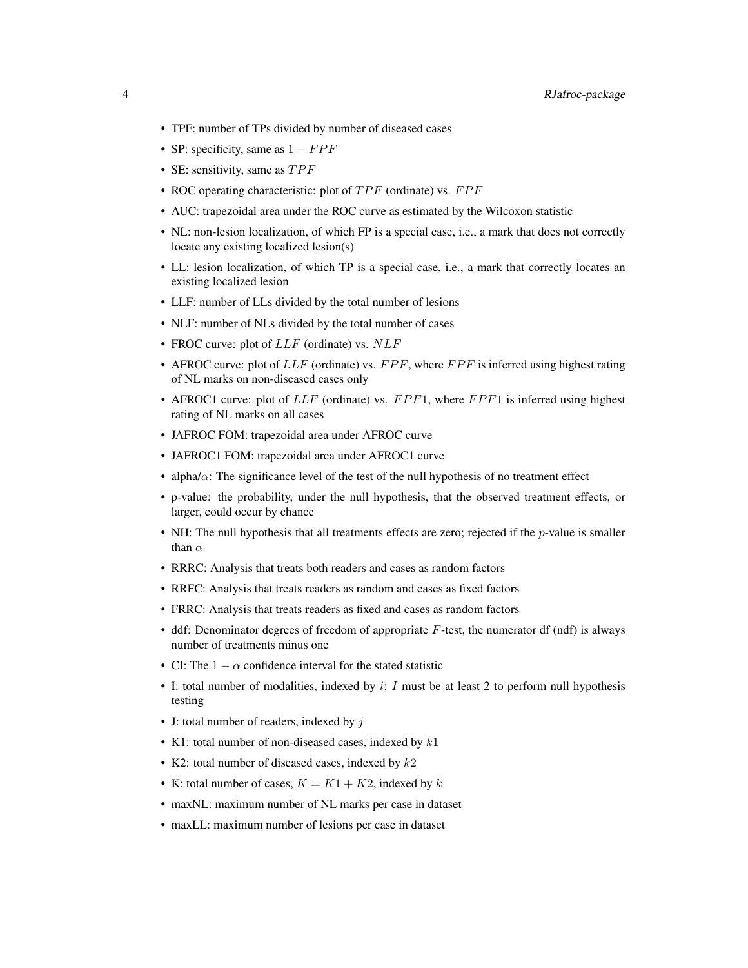- TPF: number of TPs divided by number of diseased cases
- SP: specificity, same as  $1 FPF$
- SE: sensitivity, same as  $TPF$
- ROC operating characteristic: plot of  $TPF$  (ordinate) vs.  $FPF$
- AUC: trapezoidal area under the ROC curve as estimated by the Wilcoxon statistic
- NL: non-lesion localization, of which FP is a special case, i.e., a mark that does not correctly locate any existing localized lesion(s)
- LL: lesion localization, of which TP is a special case, i.e., a mark that correctly locates an existing localized lesion
- LLF: number of LLs divided by the total number of lesions
- NLF: number of NLs divided by the total number of cases
- FROC curve: plot of  $LLF$  (ordinate) vs.  $NLF$
- AFROC curve: plot of  $LLF$  (ordinate) vs.  $FPF$ , where  $FPF$  is inferred using highest rating of NL marks on non-diseased cases only
- AFROC1 curve: plot of  $LLF$  (ordinate) vs.  $FPF1$ , where  $FPF1$  is inferred using highest rating of NL marks on all cases
- JAFROC FOM: trapezoidal area under AFROC curve
- JAFROC1 FOM: trapezoidal area under AFROC1 curve
- alpha/ $\alpha$ : The significance level of the test of the null hypothesis of no treatment effect
- p-value: the probability, under the null hypothesis, that the observed treatment effects, or larger, could occur by chance
- NH: The null hypothesis that all treatments effects are zero; rejected if the  $p$ -value is smaller than  $\alpha$
- RRRC: Analysis that treats both readers and cases as random factors
- RRFC: Analysis that treats readers as random and cases as fixed factors
- FRRC: Analysis that treats readers as fixed and cases as random factors
- ddf: Denominator degrees of freedom of appropriate  $F$ -test, the numerator df (ndf) is always number of treatments minus one
- CI: The  $1 \alpha$  confidence interval for the stated statistic
- I: total number of modalities, indexed by  $i$ ;  $I$  must be at least 2 to perform null hypothesis testing
- J: total number of readers, indexed by  $i$
- K1: total number of non-diseased cases, indexed by  $k1$
- K2: total number of diseased cases, indexed by  $k2$
- K: total number of cases,  $K = K1 + K2$ , indexed by k
- maxNL: maximum number of NL marks per case in dataset
- maxLL: maximum number of lesions per case in dataset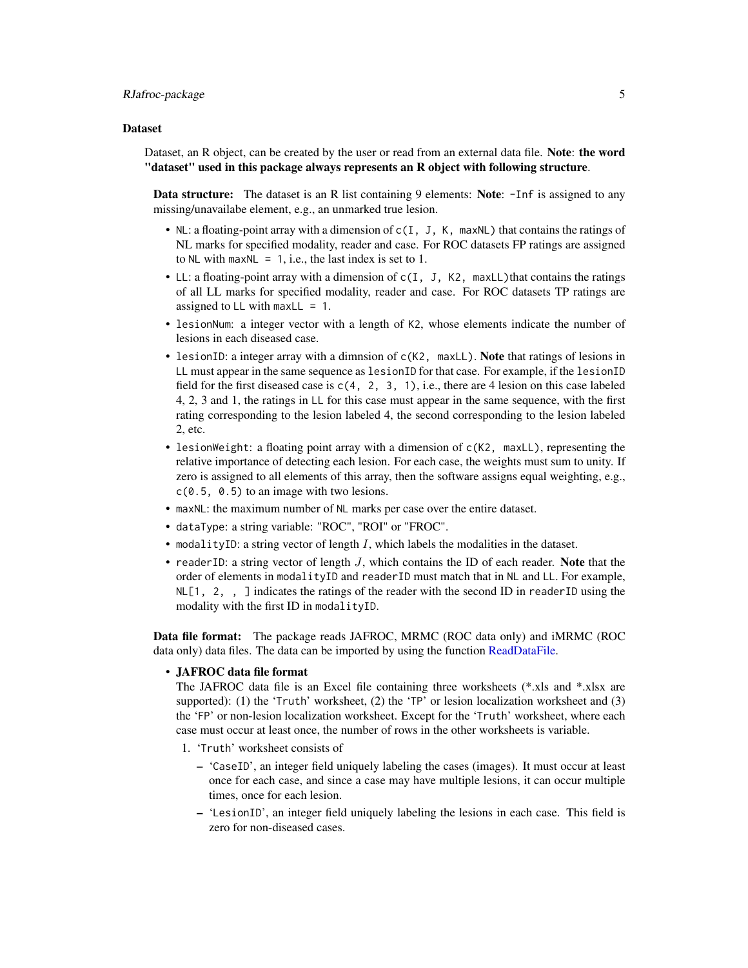#### <span id="page-4-0"></span>Dataset

Dataset, an R object, can be created by the user or read from an external data file. Note: the word "dataset" used in this package always represents an R object with following structure.

Data structure: The dataset is an R list containing 9 elements: Note: -Inf is assigned to any missing/unavailabe element, e.g., an unmarked true lesion.

- NL: a floating-point array with a dimension of c(I, J, K, maxNL) that contains the ratings of NL marks for specified modality, reader and case. For ROC datasets FP ratings are assigned to NL with maxNL = 1, i.e., the last index is set to 1.
- LL: a floating-point array with a dimension of c(I, J, K2, maxLL) that contains the ratings of all LL marks for specified modality, reader and case. For ROC datasets TP ratings are assigned to LL with maxLL  $= 1$ .
- lesionNum: a integer vector with a length of K2, whose elements indicate the number of lesions in each diseased case.
- lesionID: a integer array with a dimnsion of c(K2, maxLL). Note that ratings of lesions in LL must appear in the same sequence as lesionID for that case. For example, if the lesionID field for the first diseased case is  $c(4, 2, 3, 1)$ , i.e., there are 4 lesion on this case labeled 4, 2, 3 and 1, the ratings in LL for this case must appear in the same sequence, with the first rating corresponding to the lesion labeled 4, the second corresponding to the lesion labeled 2, etc.
- lesionWeight: a floating point array with a dimension of  $c(K2, \text{ maxLL})$ , representing the relative importance of detecting each lesion. For each case, the weights must sum to unity. If zero is assigned to all elements of this array, then the software assigns equal weighting, e.g., c(0.5, 0.5) to an image with two lesions.
- maxNL: the maximum number of NL marks per case over the entire dataset.
- dataType: a string variable: "ROC", "ROI" or "FROC".
- modalityID: a string vector of length  $I$ , which labels the modalities in the dataset.
- readerID: a string vector of length  $J$ , which contains the ID of each reader. Note that the order of elements in modalityID and readerID must match that in NL and LL. For example,  $NLE[1, 2, 1]$  indicates the ratings of the reader with the second ID in reader ID using the modality with the first ID in modalityID.

Data file format: The package reads JAFROC, MRMC (ROC data only) and iMRMC (ROC data only) data files. The data can be imported by using the function [ReadDataFile.](#page-18-1)

#### • JAFROC data file format

The JAFROC data file is an Excel file containing three worksheets (\*.xls and \*.xlsx are supported): (1) the 'Truth' worksheet, (2) the 'TP' or lesion localization worksheet and (3) the 'FP' or non-lesion localization worksheet. Except for the 'Truth' worksheet, where each case must occur at least once, the number of rows in the other worksheets is variable.

- 1. 'Truth' worksheet consists of
	- 'CaseID', an integer field uniquely labeling the cases (images). It must occur at least once for each case, and since a case may have multiple lesions, it can occur multiple times, once for each lesion.
	- 'LesionID', an integer field uniquely labeling the lesions in each case. This field is zero for non-diseased cases.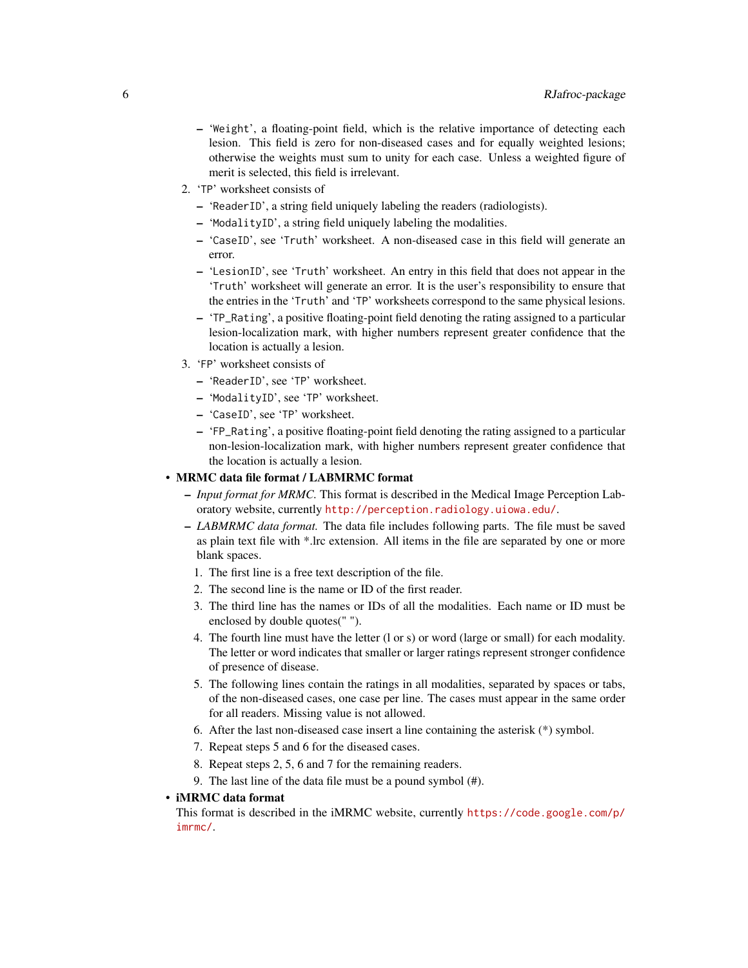- 'Weight', a floating-point field, which is the relative importance of detecting each lesion. This field is zero for non-diseased cases and for equally weighted lesions; otherwise the weights must sum to unity for each case. Unless a weighted figure of merit is selected, this field is irrelevant.
- 2. 'TP' worksheet consists of
	- 'ReaderID', a string field uniquely labeling the readers (radiologists).
	- 'ModalityID', a string field uniquely labeling the modalities.
	- 'CaseID', see 'Truth' worksheet. A non-diseased case in this field will generate an error.
	- 'LesionID', see 'Truth' worksheet. An entry in this field that does not appear in the 'Truth' worksheet will generate an error. It is the user's responsibility to ensure that the entries in the 'Truth' and 'TP' worksheets correspond to the same physical lesions.
	- 'TP\_Rating', a positive floating-point field denoting the rating assigned to a particular lesion-localization mark, with higher numbers represent greater confidence that the location is actually a lesion.
- 3. 'FP' worksheet consists of
	- 'ReaderID', see 'TP' worksheet.
	- 'ModalityID', see 'TP' worksheet.
	- 'CaseID', see 'TP' worksheet.
	- 'FP\_Rating', a positive floating-point field denoting the rating assigned to a particular non-lesion-localization mark, with higher numbers represent greater confidence that the location is actually a lesion.

#### • MRMC data file format / LABMRMC format

- *Input format for MRMC.* This format is described in the Medical Image Perception Laboratory website, currently <http://perception.radiology.uiowa.edu/>.
- *LABMRMC data format.* The data file includes following parts. The file must be saved as plain text file with \*.lrc extension. All items in the file are separated by one or more blank spaces.
	- 1. The first line is a free text description of the file.
	- 2. The second line is the name or ID of the first reader.
	- 3. The third line has the names or IDs of all the modalities. Each name or ID must be enclosed by double quotes(" ").
	- 4. The fourth line must have the letter (l or s) or word (large or small) for each modality. The letter or word indicates that smaller or larger ratings represent stronger confidence of presence of disease.
	- 5. The following lines contain the ratings in all modalities, separated by spaces or tabs, of the non-diseased cases, one case per line. The cases must appear in the same order for all readers. Missing value is not allowed.
	- 6. After the last non-diseased case insert a line containing the asterisk (\*) symbol.
	- 7. Repeat steps 5 and 6 for the diseased cases.
	- 8. Repeat steps 2, 5, 6 and 7 for the remaining readers.
	- 9. The last line of the data file must be a pound symbol (#).

#### • iMRMC data format

This format is described in the iMRMC website, currently [https://code.google.com/p/](https://code.google.com/p/imrmc/) [imrmc/](https://code.google.com/p/imrmc/).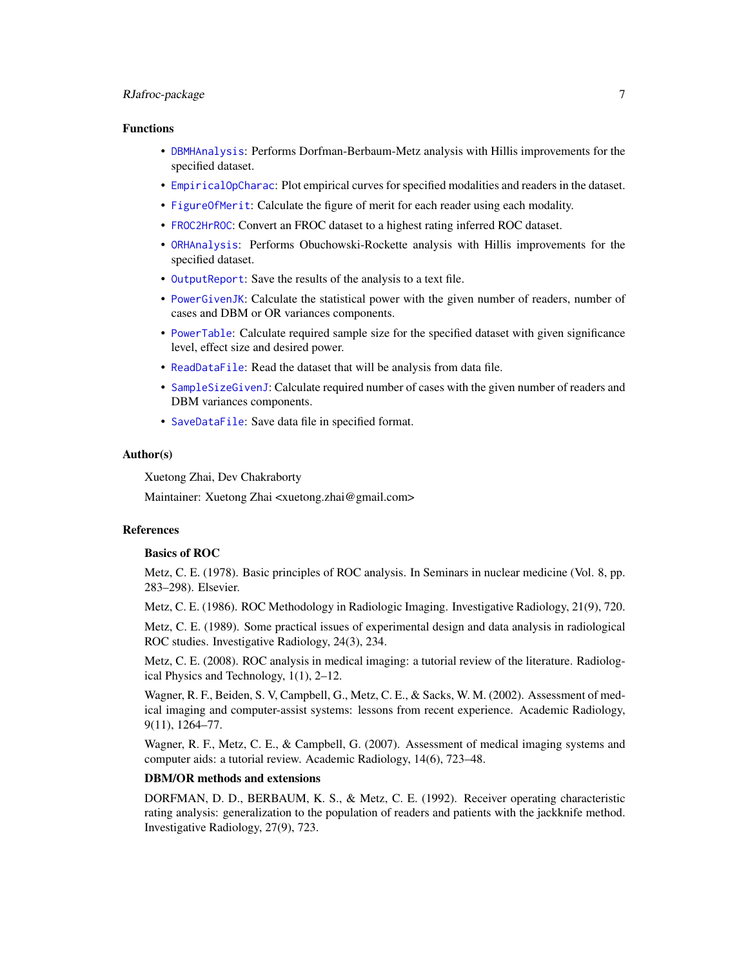#### <span id="page-6-0"></span>RJafroc-package 7

#### Functions

- [DBMHAnalysis](#page-7-1): Performs Dorfman-Berbaum-Metz analysis with Hillis improvements for the specified dataset.
- [EmpiricalOpCharac](#page-9-1): Plot empirical curves for specified modalities and readers in the dataset.
- [FigureOfMerit](#page-11-1): Calculate the figure of merit for each reader using each modality.
- [FROC2HrROC](#page-12-1): Convert an FROC dataset to a highest rating inferred ROC dataset.
- [ORHAnalysis](#page-13-1): Performs Obuchowski-Rockette analysis with Hillis improvements for the specified dataset.
- [OutputReport](#page-14-1): Save the results of the analysis to a text file.
- [PowerGivenJK](#page-16-1): Calculate the statistical power with the given number of readers, number of cases and DBM or OR variances components.
- [PowerTable](#page-17-1): Calculate required sample size for the specified dataset with given significance level, effect size and desired power.
- [ReadDataFile](#page-18-1): Read the dataset that will be analysis from data file.
- [SampleSizeGivenJ](#page-21-1): Calculate required number of cases with the given number of readers and DBM variances components.
- [SaveDataFile](#page-24-1): Save data file in specified format.

#### Author(s)

Xuetong Zhai, Dev Chakraborty

Maintainer: Xuetong Zhai <xuetong.zhai@gmail.com>

#### References

#### Basics of ROC

Metz, C. E. (1978). Basic principles of ROC analysis. In Seminars in nuclear medicine (Vol. 8, pp. 283–298). Elsevier.

Metz, C. E. (1986). ROC Methodology in Radiologic Imaging. Investigative Radiology, 21(9), 720.

Metz, C. E. (1989). Some practical issues of experimental design and data analysis in radiological ROC studies. Investigative Radiology, 24(3), 234.

Metz, C. E. (2008). ROC analysis in medical imaging: a tutorial review of the literature. Radiological Physics and Technology, 1(1), 2–12.

Wagner, R. F., Beiden, S. V, Campbell, G., Metz, C. E., & Sacks, W. M. (2002). Assessment of medical imaging and computer-assist systems: lessons from recent experience. Academic Radiology, 9(11), 1264–77.

Wagner, R. F., Metz, C. E., & Campbell, G. (2007). Assessment of medical imaging systems and computer aids: a tutorial review. Academic Radiology, 14(6), 723–48.

#### DBM/OR methods and extensions

DORFMAN, D. D., BERBAUM, K. S., & Metz, C. E. (1992). Receiver operating characteristic rating analysis: generalization to the population of readers and patients with the jackknife method. Investigative Radiology, 27(9), 723.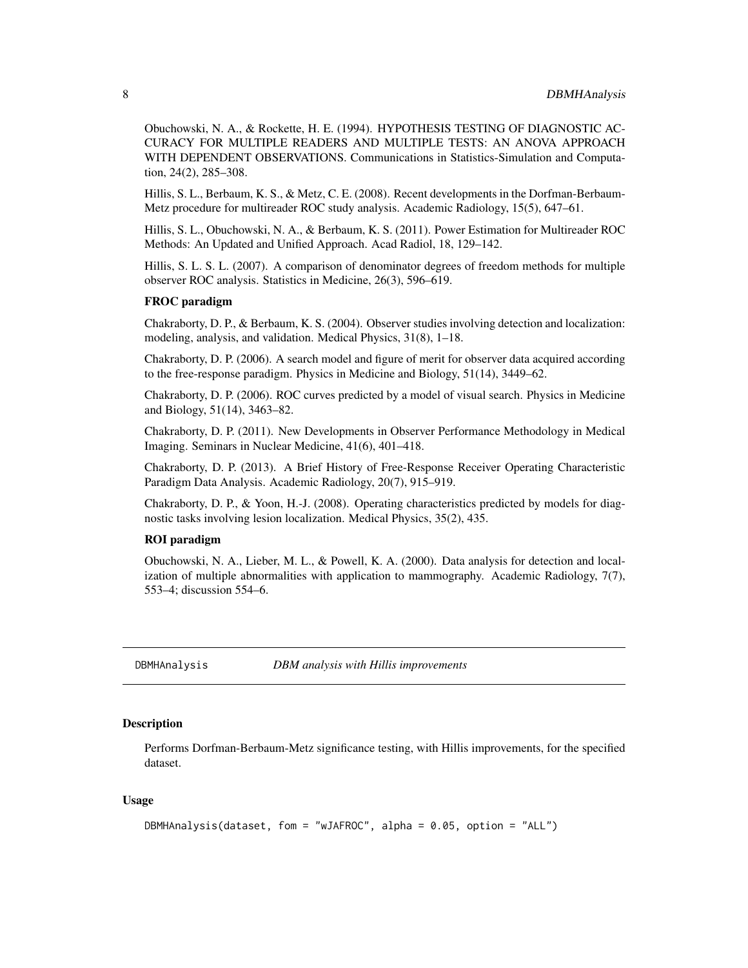<span id="page-7-0"></span>Obuchowski, N. A., & Rockette, H. E. (1994). HYPOTHESIS TESTING OF DIAGNOSTIC AC-CURACY FOR MULTIPLE READERS AND MULTIPLE TESTS: AN ANOVA APPROACH WITH DEPENDENT OBSERVATIONS. Communications in Statistics-Simulation and Computation, 24(2), 285–308.

Hillis, S. L., Berbaum, K. S., & Metz, C. E. (2008). Recent developments in the Dorfman-Berbaum-Metz procedure for multireader ROC study analysis. Academic Radiology, 15(5), 647–61.

Hillis, S. L., Obuchowski, N. A., & Berbaum, K. S. (2011). Power Estimation for Multireader ROC Methods: An Updated and Unified Approach. Acad Radiol, 18, 129–142.

Hillis, S. L. S. L. (2007). A comparison of denominator degrees of freedom methods for multiple observer ROC analysis. Statistics in Medicine, 26(3), 596–619.

#### FROC paradigm

Chakraborty, D. P., & Berbaum, K. S. (2004). Observer studies involving detection and localization: modeling, analysis, and validation. Medical Physics, 31(8), 1–18.

Chakraborty, D. P. (2006). A search model and figure of merit for observer data acquired according to the free-response paradigm. Physics in Medicine and Biology, 51(14), 3449–62.

Chakraborty, D. P. (2006). ROC curves predicted by a model of visual search. Physics in Medicine and Biology, 51(14), 3463–82.

Chakraborty, D. P. (2011). New Developments in Observer Performance Methodology in Medical Imaging. Seminars in Nuclear Medicine, 41(6), 401–418.

Chakraborty, D. P. (2013). A Brief History of Free-Response Receiver Operating Characteristic Paradigm Data Analysis. Academic Radiology, 20(7), 915–919.

Chakraborty, D. P., & Yoon, H.-J. (2008). Operating characteristics predicted by models for diagnostic tasks involving lesion localization. Medical Physics, 35(2), 435.

#### ROI paradigm

Obuchowski, N. A., Lieber, M. L., & Powell, K. A. (2000). Data analysis for detection and localization of multiple abnormalities with application to mammography. Academic Radiology, 7(7), 553–4; discussion 554–6.

<span id="page-7-1"></span>DBMHAnalysis *DBM analysis with Hillis improvements*

#### Description

Performs Dorfman-Berbaum-Metz significance testing, with Hillis improvements, for the specified dataset.

```
DBMHAnalysis(dataset, fom = "wJAFROC", alpha = 0.05, option = "ALL")
```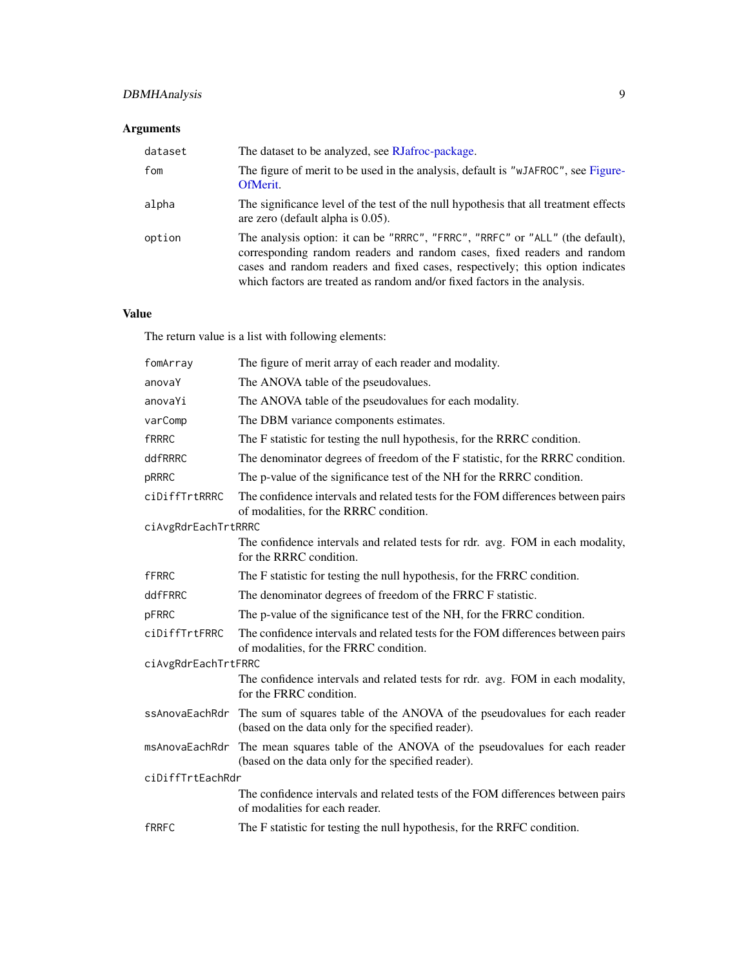#### <span id="page-8-0"></span>DBMHAnalysis 9

#### Arguments

| dataset | The dataset to be analyzed, see RJafroc-package.                                                                                                                                                                                                                                                                       |
|---------|------------------------------------------------------------------------------------------------------------------------------------------------------------------------------------------------------------------------------------------------------------------------------------------------------------------------|
| fom     | The figure of merit to be used in the analysis, default is "wJAFROC", see Figure-<br>OfMerit.                                                                                                                                                                                                                          |
| alpha   | The significance level of the test of the null hypothesis that all treatment effects<br>are zero (default alpha is 0.05).                                                                                                                                                                                              |
| option  | The analysis option: it can be "RRRC", "FRRC", "RRFC" or "ALL" (the default),<br>corresponding random readers and random cases, fixed readers and random<br>cases and random readers and fixed cases, respectively; this option indicates<br>which factors are treated as random and/or fixed factors in the analysis. |

#### Value

The return value is a list with following elements:

| fomArray            | The figure of merit array of each reader and modality.                                                                                         |  |
|---------------------|------------------------------------------------------------------------------------------------------------------------------------------------|--|
| anovaY              | The ANOVA table of the pseudovalues.                                                                                                           |  |
| anovaYi             | The ANOVA table of the pseudovalues for each modality.                                                                                         |  |
| varComp             | The DBM variance components estimates.                                                                                                         |  |
| <b>fRRRC</b>        | The F statistic for testing the null hypothesis, for the RRRC condition.                                                                       |  |
| ddfRRRC             | The denominator degrees of freedom of the F statistic, for the RRRC condition.                                                                 |  |
| pRRRC               | The p-value of the significance test of the NH for the RRRC condition.                                                                         |  |
| ciDiffTrtRRRC       | The confidence intervals and related tests for the FOM differences between pairs<br>of modalities, for the RRRC condition.                     |  |
| ciAvgRdrEachTrtRRRC |                                                                                                                                                |  |
|                     | The confidence intervals and related tests for rdr. avg. FOM in each modality,<br>for the RRRC condition.                                      |  |
| <b>fFRRC</b>        | The F statistic for testing the null hypothesis, for the FRRC condition.                                                                       |  |
| ddfFRRC             | The denominator degrees of freedom of the FRRC F statistic.                                                                                    |  |
| pFRRC               | The p-value of the significance test of the NH, for the FRRC condition.                                                                        |  |
| ciDiffTrtFRRC       | The confidence intervals and related tests for the FOM differences between pairs<br>of modalities, for the FRRC condition.                     |  |
| ciAvgRdrEachTrtFRRC |                                                                                                                                                |  |
|                     | The confidence intervals and related tests for rdr. avg. FOM in each modality,<br>for the FRRC condition.                                      |  |
|                     | ssAnovaEachRdr The sum of squares table of the ANOVA of the pseudovalues for each reader<br>(based on the data only for the specified reader). |  |
| msAnovaEachRdr      | The mean squares table of the ANOVA of the pseudovalues for each reader<br>(based on the data only for the specified reader).                  |  |
| ciDiffTrtEachRdr    |                                                                                                                                                |  |
|                     | The confidence intervals and related tests of the FOM differences between pairs<br>of modalities for each reader.                              |  |
| <b>fRRFC</b>        | The F statistic for testing the null hypothesis, for the RRFC condition.                                                                       |  |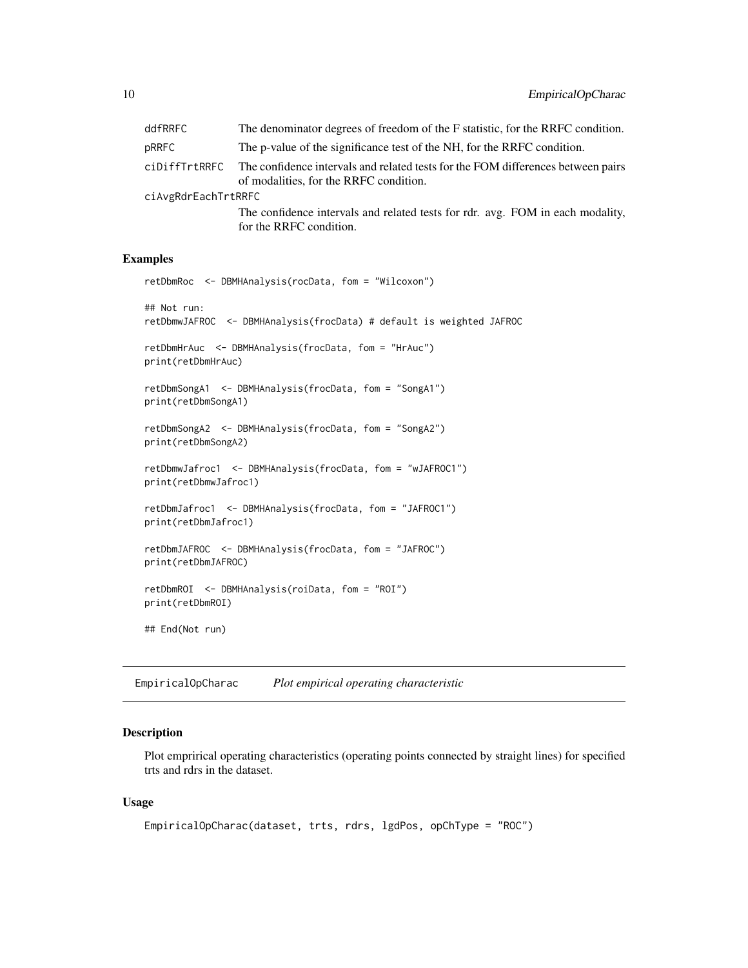<span id="page-9-0"></span>

| ddfRRFC             | The denominator degrees of freedom of the F statistic, for the RRFC condition.                                             |  |
|---------------------|----------------------------------------------------------------------------------------------------------------------------|--|
| pRRFC               | The p-value of the significance test of the NH, for the RRFC condition.                                                    |  |
| ciDiffTrtRRFC       | The confidence intervals and related tests for the FOM differences between pairs<br>of modalities, for the RRFC condition. |  |
| ciAvgRdrEachTrtRRFC |                                                                                                                            |  |
|                     | The confidence intervals and related tests for rdr. avg. FOM in each modality,<br>for the RRFC condition.                  |  |

#### Examples

```
retDbmRoc <- DBMHAnalysis(rocData, fom = "Wilcoxon")
## Not run:
retDbmwJAFROC <- DBMHAnalysis(frocData) # default is weighted JAFROC
retDbmHrAuc <- DBMHAnalysis(frocData, fom = "HrAuc")
print(retDbmHrAuc)
retDbmSongA1 <- DBMHAnalysis(frocData, fom = "SongA1")
print(retDbmSongA1)
retDbmSongA2 <- DBMHAnalysis(frocData, fom = "SongA2")
print(retDbmSongA2)
retDbmwJafroc1 <- DBMHAnalysis(frocData, fom = "wJAFROC1")
print(retDbmwJafroc1)
retDbmJafroc1 <- DBMHAnalysis(frocData, fom = "JAFROC1")
print(retDbmJafroc1)
retDbmJAFROC <- DBMHAnalysis(frocData, fom = "JAFROC")
print(retDbmJAFROC)
retDbmROI <- DBMHAnalysis(roiData, fom = "ROI")
print(retDbmROI)
## End(Not run)
```
<span id="page-9-1"></span>EmpiricalOpCharac *Plot empirical operating characteristic*

#### Description

Plot emprirical operating characteristics (operating points connected by straight lines) for specified trts and rdrs in the dataset.

```
EmpiricalOpCharac(dataset, trts, rdrs, lgdPos, opChType = "ROC")
```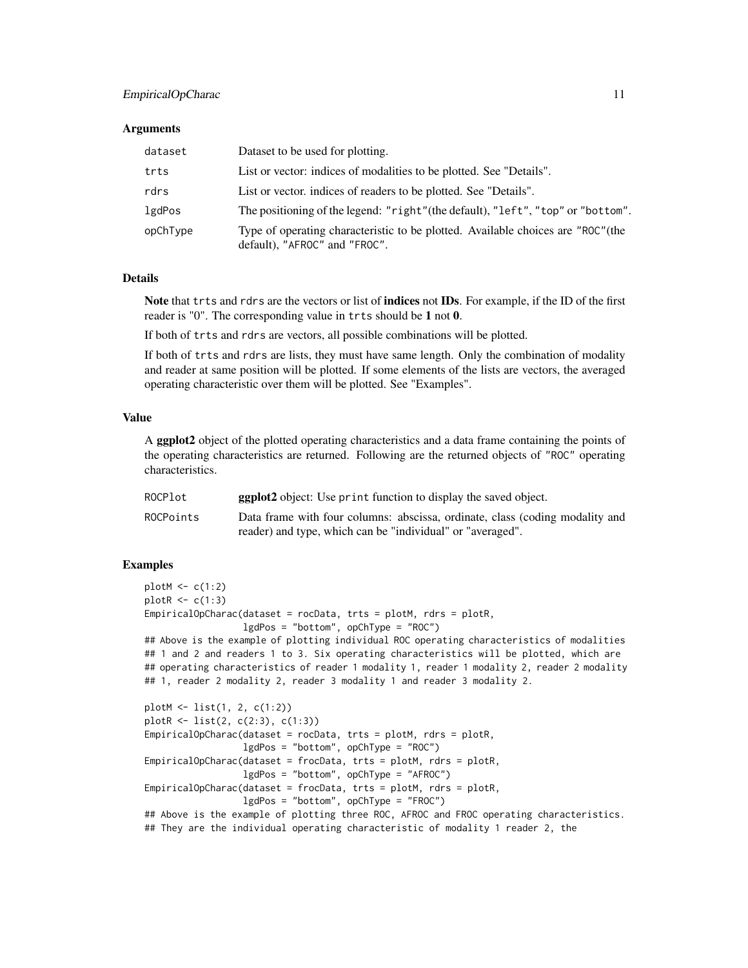#### EmpiricalOpCharac 11

#### **Arguments**

| dataset  | Dataset to be used for plotting.                                                                                  |
|----------|-------------------------------------------------------------------------------------------------------------------|
| trts     | List or vector: indices of modalities to be plotted. See "Details".                                               |
| rdrs     | List or vector, indices of readers to be plotted. See "Details".                                                  |
| lgdPos   | The positioning of the legend: "right" (the default), "left", "top" or "bottom".                                  |
| opChType | Type of operating characteristic to be plotted. Available choices are "ROC" (the<br>default), "AFROC" and "FROC". |

#### Details

Note that trts and rdrs are the vectors or list of indices not IDs. For example, if the ID of the first reader is "0". The corresponding value in trts should be 1 not 0.

If both of trts and rdrs are vectors, all possible combinations will be plotted.

If both of trts and rdrs are lists, they must have same length. Only the combination of modality and reader at same position will be plotted. If some elements of the lists are vectors, the averaged operating characteristic over them will be plotted. See "Examples".

#### Value

A ggplot2 object of the plotted operating characteristics and a data frame containing the points of the operating characteristics are returned. Following are the returned objects of "ROC" operating characteristics.

| ROCPlot   | <b>ggplot2</b> object: Use print function to display the saved object.       |
|-----------|------------------------------------------------------------------------------|
| ROCPoints | Data frame with four columns: abscissa, ordinate, class (coding modality and |
|           | reader) and type, which can be "individual" or "averaged".                   |

#### Examples

```
plotM < -c(1:2)plotR < -c(1:3)EmpiricalOpCharac(dataset = rocData, trts = plotM, rdrs = plotR,
                  lgdPos = "bottom", opChType = "ROC")
## Above is the example of plotting individual ROC operating characteristics of modalities
## 1 and 2 and readers 1 to 3. Six operating characteristics will be plotted, which are
## operating characteristics of reader 1 modality 1, reader 1 modality 2, reader 2 modality
## 1, reader 2 modality 2, reader 3 modality 1 and reader 3 modality 2.
plotM <- list(1, 2, c(1:2))
plotR <- list(2, c(2:3), c(1:3))
EmpiricalOpCharac(dataset = rocData, trts = plotM, rdrs = plotR,
                  lgdPos = "bottom", opChType = "ROC")
EmpiricalOpCharac(dataset = frocData, trts = plotM, rdrs = plotR,
                 lgdPos = "bottom", opChType = "AFROC")
```

```
EmpiricalOpCharac(dataset = frocData, trts = plotM, rdrs = plotR,
```

```
lgdPos = "bottom", opChType = "FROC")
```

```
## Above is the example of plotting three ROC, AFROC and FROC operating characteristics.
## They are the individual operating characteristic of modality 1 reader 2, the
```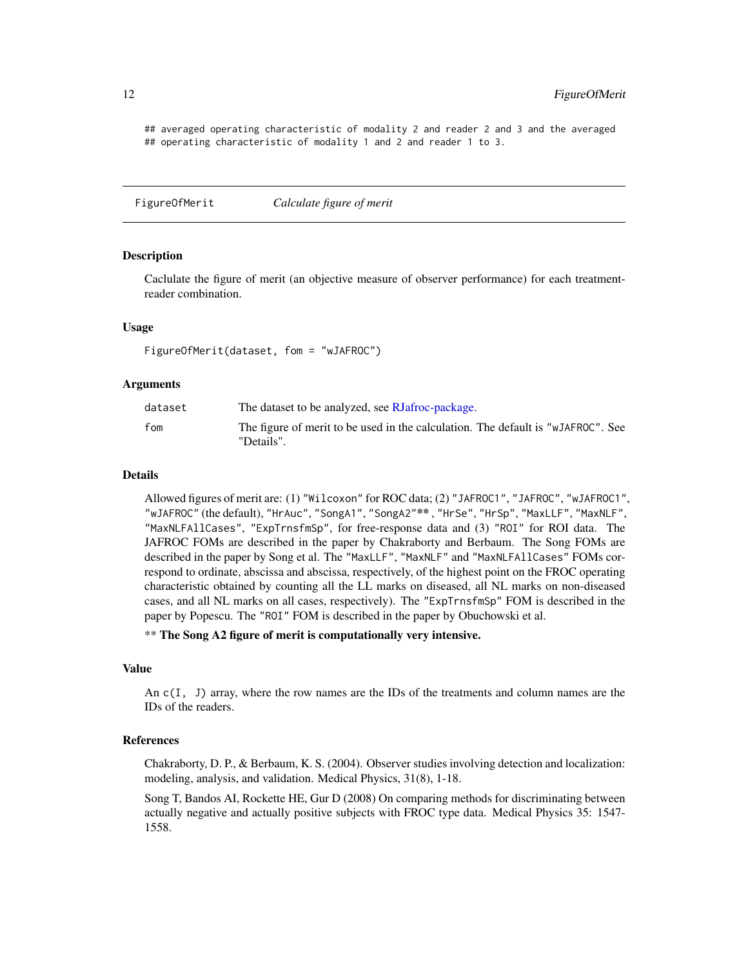## averaged operating characteristic of modality 2 and reader 2 and 3 and the averaged ## operating characteristic of modality 1 and 2 and reader 1 to 3.

<span id="page-11-1"></span>FigureOfMerit *Calculate figure of merit*

#### Description

Caclulate the figure of merit (an objective measure of observer performance) for each treatmentreader combination.

#### Usage

FigureOfMerit(dataset, fom = "wJAFROC")

#### Arguments

| dataset | The dataset to be analyzed, see RJafroc-package.                                               |
|---------|------------------------------------------------------------------------------------------------|
| fom     | The figure of merit to be used in the calculation. The default is "wJAFROC". See<br>"Details". |

#### Details

Allowed figures of merit are: (1) "Wilcoxon" for ROC data; (2) "JAFROC1", "JAFROC", "wJAFROC1", "wJAFROC" (the default), "HrAuc", "SongA1", "SongA2"\*\* , "HrSe", "HrSp", "MaxLLF", "MaxNLF", "MaxNLFAllCases", "ExpTrnsfmSp", for free-response data and (3) "ROI" for ROI data. The JAFROC FOMs are described in the paper by Chakraborty and Berbaum. The Song FOMs are described in the paper by Song et al. The "MaxLLF", "MaxNLF" and "MaxNLFAllCases" FOMs correspond to ordinate, abscissa and abscissa, respectively, of the highest point on the FROC operating characteristic obtained by counting all the LL marks on diseased, all NL marks on non-diseased cases, and all NL marks on all cases, respectively). The "ExpTrnsfmSp" FOM is described in the paper by Popescu. The "ROI" FOM is described in the paper by Obuchowski et al.

\*\* The Song A2 figure of merit is computationally very intensive.

#### Value

An c(I, J) array, where the row names are the IDs of the treatments and column names are the IDs of the readers.

#### References

Chakraborty, D. P., & Berbaum, K. S. (2004). Observer studies involving detection and localization: modeling, analysis, and validation. Medical Physics, 31(8), 1-18.

Song T, Bandos AI, Rockette HE, Gur D (2008) On comparing methods for discriminating between actually negative and actually positive subjects with FROC type data. Medical Physics 35: 1547- 1558.

<span id="page-11-0"></span>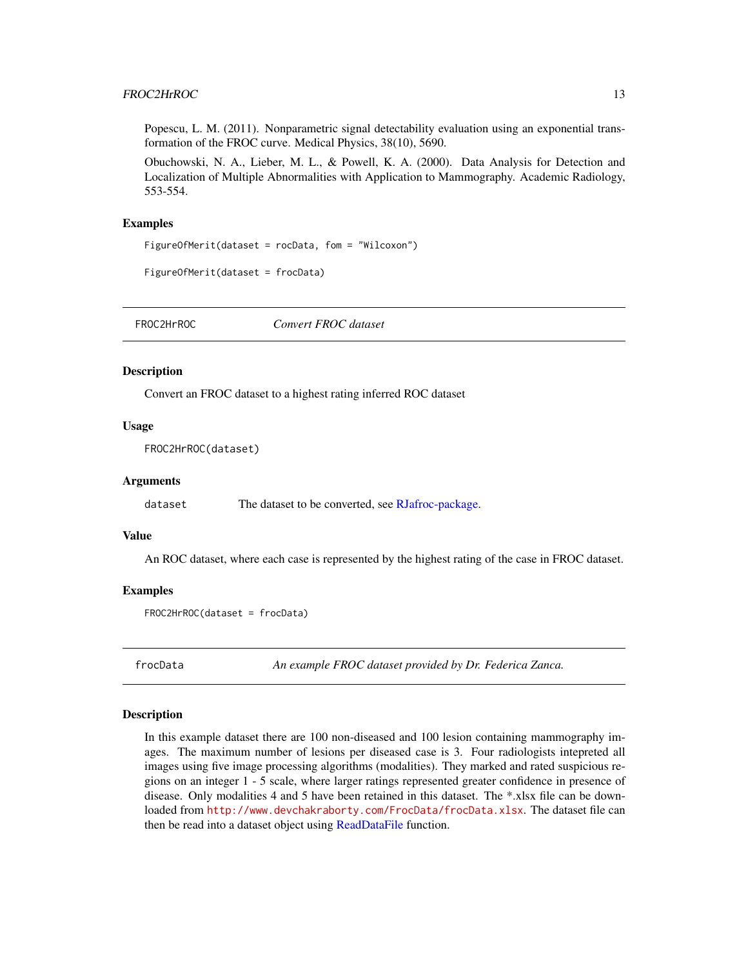#### <span id="page-12-0"></span>FROC2HrROC 13

Popescu, L. M. (2011). Nonparametric signal detectability evaluation using an exponential transformation of the FROC curve. Medical Physics, 38(10), 5690.

Obuchowski, N. A., Lieber, M. L., & Powell, K. A. (2000). Data Analysis for Detection and Localization of Multiple Abnormalities with Application to Mammography. Academic Radiology, 553-554.

#### Examples

```
FigureOfMerit(dataset = rocData, fom = "Wilcoxon")
```

```
FigureOfMerit(dataset = frocData)
```
<span id="page-12-1"></span>FROC2HrROC *Convert FROC dataset*

#### Description

Convert an FROC dataset to a highest rating inferred ROC dataset

#### Usage

```
FROC2HrROC(dataset)
```
#### Arguments

dataset The dataset to be converted, see [RJafroc-package.](#page-1-1)

#### Value

An ROC dataset, where each case is represented by the highest rating of the case in FROC dataset.

#### Examples

```
FROC2HrROC(dataset = frocData)
```
frocData *An example FROC dataset provided by Dr. Federica Zanca.*

#### Description

In this example dataset there are 100 non-diseased and 100 lesion containing mammography images. The maximum number of lesions per diseased case is 3. Four radiologists intepreted all images using five image processing algorithms (modalities). They marked and rated suspicious regions on an integer 1 - 5 scale, where larger ratings represented greater confidence in presence of disease. Only modalities 4 and 5 have been retained in this dataset. The \*.xlsx file can be downloaded from <http://www.devchakraborty.com/FrocData/frocData.xlsx>. The dataset file can then be read into a dataset object using [ReadDataFile](#page-18-1) function.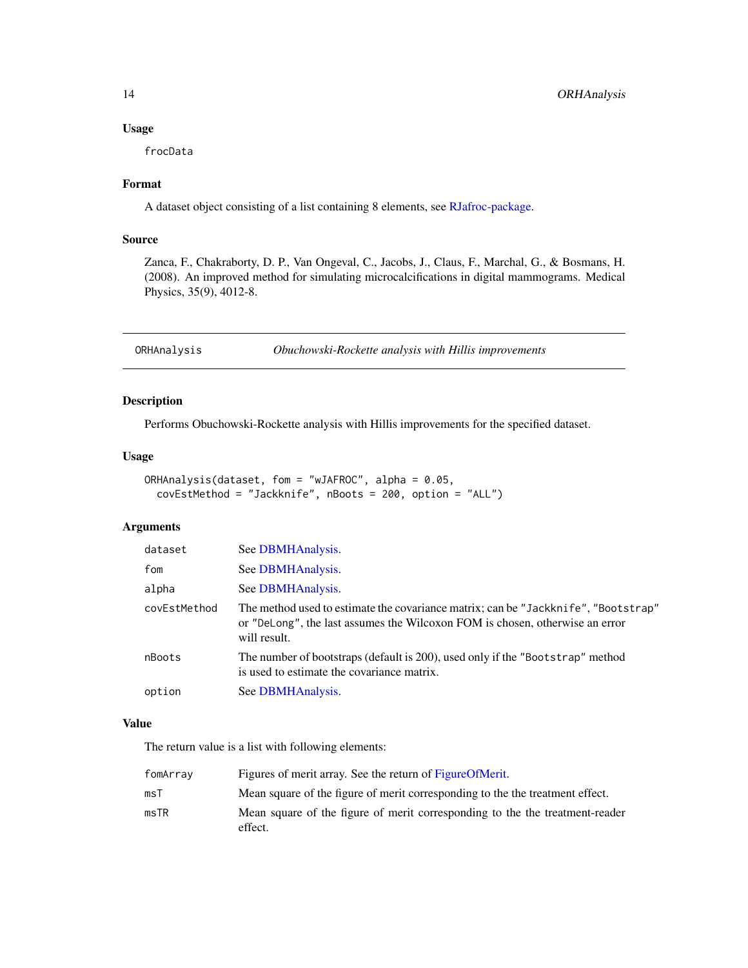#### <span id="page-13-0"></span>Usage

frocData

#### Format

A dataset object consisting of a list containing 8 elements, see [RJafroc-package.](#page-1-1)

#### Source

Zanca, F., Chakraborty, D. P., Van Ongeval, C., Jacobs, J., Claus, F., Marchal, G., & Bosmans, H. (2008). An improved method for simulating microcalcifications in digital mammograms. Medical Physics, 35(9), 4012-8.

<span id="page-13-1"></span>ORHAnalysis *Obuchowski-Rockette analysis with Hillis improvements*

#### Description

Performs Obuchowski-Rockette analysis with Hillis improvements for the specified dataset.

#### Usage

```
ORHAnalysis(dataset, fom = "wJAFROC", alpha = 0.05,
  covEstMethod = "Jackknife", nBoots = 200, option = "ALL")
```
#### Arguments

| dataset      | See DBMHAnalysis.                                                                                                                                                                  |
|--------------|------------------------------------------------------------------------------------------------------------------------------------------------------------------------------------|
| fom          | See DBMHAnalysis.                                                                                                                                                                  |
| alpha        | See DBMHAnalysis.                                                                                                                                                                  |
| covEstMethod | The method used to estimate the covariance matrix; can be "Jackknife", "Bootstrap"<br>or "DeLong", the last assumes the Wilcoxon FOM is chosen, otherwise an error<br>will result. |
| nBoots       | The number of bootstraps (default is 200), used only if the "Bootstrap" method<br>is used to estimate the covariance matrix.                                                       |
| option       | See DBMHAnalysis.                                                                                                                                                                  |

#### Value

The return value is a list with following elements:

| fomArrav | Figures of merit array. See the return of Figure Of Merit.                              |
|----------|-----------------------------------------------------------------------------------------|
| msT      | Mean square of the figure of merit corresponding to the the treatment effect.           |
| msTR     | Mean square of the figure of merit corresponding to the the treatment-reader<br>effect. |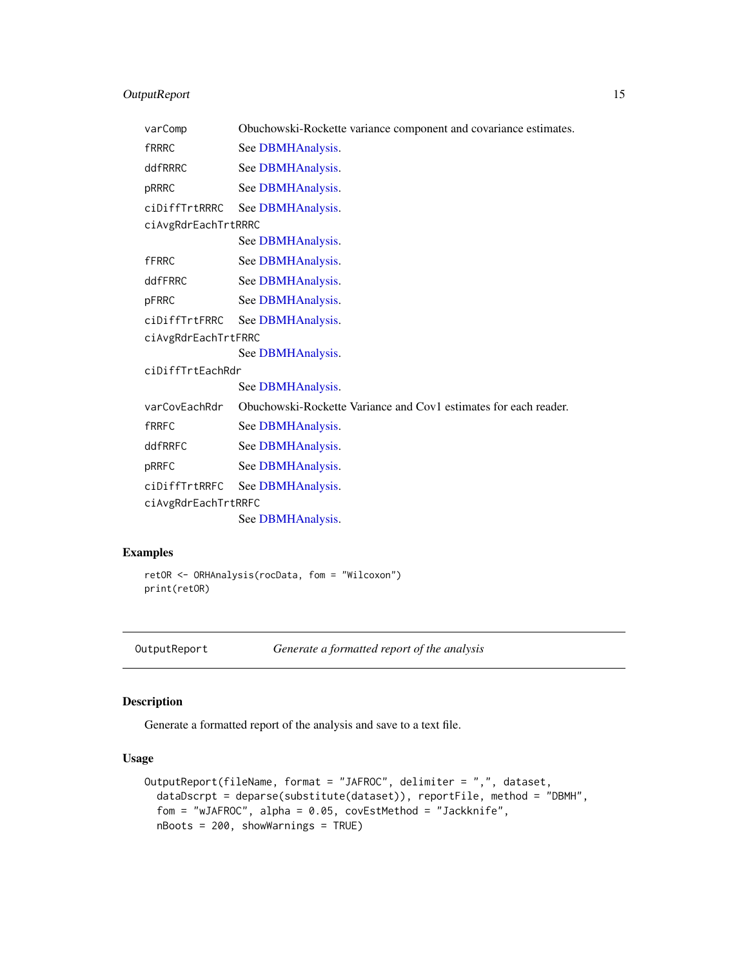#### <span id="page-14-0"></span>OutputReport 15

| varComp             | Obuchowski-Rockette variance component and covariance estimates. |  |
|---------------------|------------------------------------------------------------------|--|
| <b>fRRRC</b>        | See DBMHAnalysis.                                                |  |
| ddfRRRC             | See DBMHAnalysis.                                                |  |
| pRRRC               | See DBMHAnalysis.                                                |  |
| ciDiffTrtRRRC       | See DBMHAnalysis.                                                |  |
| ciAvgRdrEachTrtRRRC |                                                                  |  |
|                     | See DBMHAnalysis.                                                |  |
| <b>fFRRC</b>        | See DBMHAnalysis.                                                |  |
| ddfFRRC             | See DBMHAnalysis.                                                |  |
| pFRRC               | See DBMHAnalysis.                                                |  |
| ciDiffTrtFRRC       | See DBMHAnalysis.                                                |  |
| ciAvgRdrEachTrtFRRC |                                                                  |  |
|                     | See DBMHAnalysis.                                                |  |
| ciDiffTrtEachRdr    |                                                                  |  |
|                     | See DBMHAnalysis.                                                |  |
| varCovEachRdr       | Obuchowski-Rockette Variance and Cov1 estimates for each reader. |  |
| <b>fRRFC</b>        | See DBMHAnalysis.                                                |  |
| ddfRRFC             | See DBMHAnalysis.                                                |  |
| pRRFC               | See DBMHAnalysis.                                                |  |
| ciDiffTrtRRFC       | See DBMHAnalysis.                                                |  |
| ciAvgRdrEachTrtRRFC |                                                                  |  |
|                     | See DBMHAnalysis.                                                |  |

#### Examples

```
retOR <- ORHAnalysis(rocData, fom = "Wilcoxon")
print(retOR)
```
<span id="page-14-1"></span>

```
OutputReport Generate a formatted report of the analysis
```
#### Description

Generate a formatted report of the analysis and save to a text file.

```
OutputReport(fileName, format = "JAFROC", delimiter = ",", dataset,
  dataDscrpt = deparse(substitute(dataset)), reportFile, method = "DBMH",
  fom = "wJAFROC", alpha = 0.05, covEstMethod = "Jackknife",
  nBoots = 200, showWarnings = TRUE)
```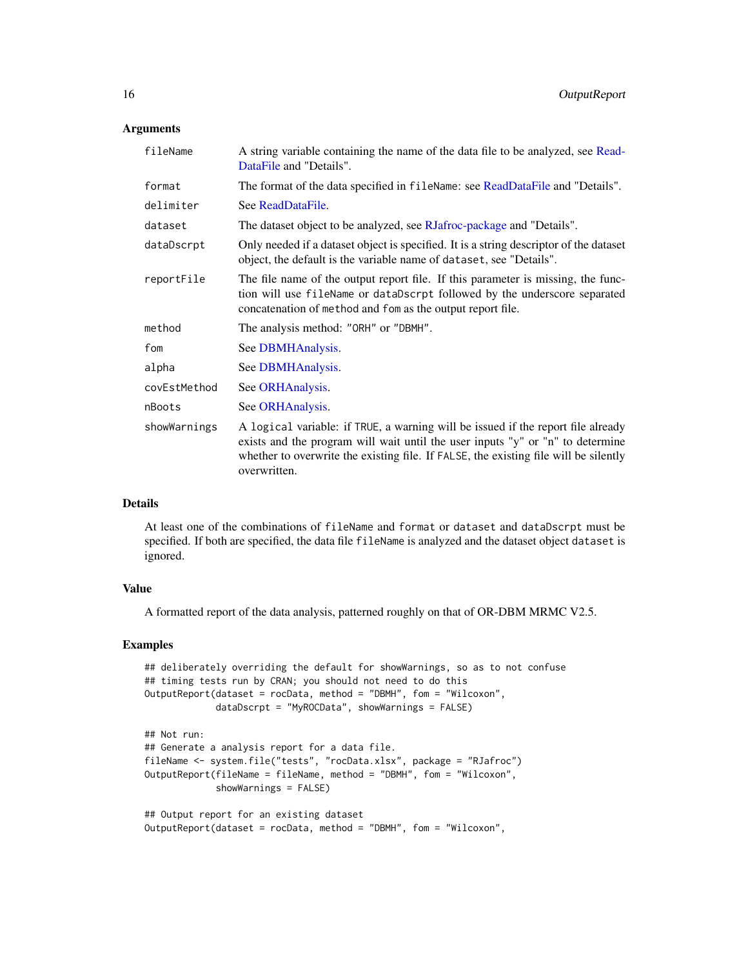#### <span id="page-15-0"></span>**Arguments**

| A string variable containing the name of the data file to be analyzed, see Read-<br>DataFile and "Details".                                                                                                                                                                |
|----------------------------------------------------------------------------------------------------------------------------------------------------------------------------------------------------------------------------------------------------------------------------|
| The format of the data specified in fileName: see ReadDataFile and "Details".                                                                                                                                                                                              |
| See ReadDataFile.                                                                                                                                                                                                                                                          |
| The dataset object to be analyzed, see RJafroc-package and "Details".                                                                                                                                                                                                      |
| Only needed if a dataset object is specified. It is a string descriptor of the dataset<br>object, the default is the variable name of dataset, see "Details".                                                                                                              |
| The file name of the output report file. If this parameter is missing, the func-<br>tion will use fileName or dataDscrpt followed by the underscore separated<br>concatenation of method and fom as the output report file.                                                |
| The analysis method: "ORH" or "DBMH".                                                                                                                                                                                                                                      |
| See DBMHAnalysis.                                                                                                                                                                                                                                                          |
| See DBMHAnalysis.                                                                                                                                                                                                                                                          |
| See ORHAnalysis.                                                                                                                                                                                                                                                           |
| See ORHAnalysis.                                                                                                                                                                                                                                                           |
| A logical variable: if TRUE, a warning will be issued if the report file already<br>exists and the program will wait until the user inputs "y" or "n" to determine<br>whether to overwrite the existing file. If FALSE, the existing file will be silently<br>overwritten. |
|                                                                                                                                                                                                                                                                            |

#### Details

At least one of the combinations of fileName and format or dataset and dataDscrpt must be specified. If both are specified, the data file fileName is analyzed and the dataset object dataset is ignored.

#### Value

A formatted report of the data analysis, patterned roughly on that of OR-DBM MRMC V2.5.

#### Examples

```
## deliberately overriding the default for showWarnings, so as to not confuse
## timing tests run by CRAN; you should not need to do this
OutputReport(dataset = rocData, method = "DBMH", fom = "Wilcoxon",
            dataDscrpt = "MyROCData", showWarnings = FALSE)
## Not run:
## Generate a analysis report for a data file.
fileName <- system.file("tests", "rocData.xlsx", package = "RJafroc")
OutputReport(fileName = fileName, method = "DBMH", fom = "Wilcoxon",
            showWarnings = FALSE)
## Output report for an existing dataset
OutputReport(dataset = rocData, method = "DBMH", fom = "Wilcoxon",
```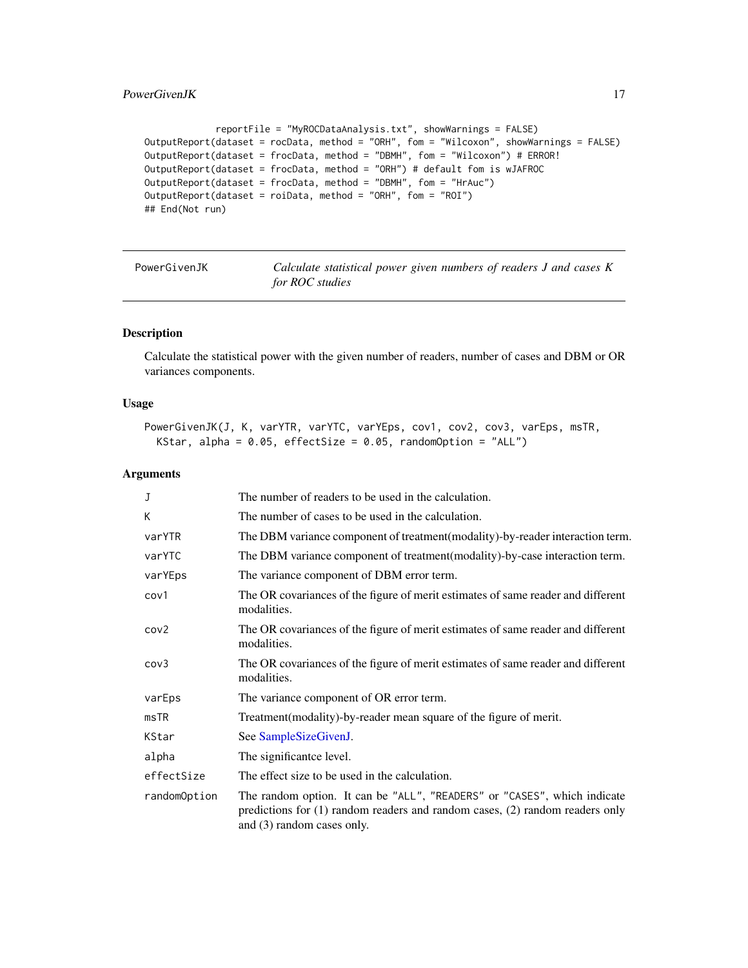#### <span id="page-16-0"></span>PowerGivenJK 17

```
reportFile = "MyROCDataAnalysis.txt", showWarnings = FALSE)
OutputReport(dataset = rocData, method = "ORH", fom = "Wilcoxon", showWarnings = FALSE)
OutputReport(dataset = frocData, method = "DBMH", fom = "Wilcoxon") # ERROR!
OutputReport(dataset = frocData, method = "ORH") # default fom is wJAFROC
OutputReport(dataset = frocData, method = "DBMH", fom = "HrAuc")
OutputReport(dataset = roiData, method = "ORH", fom = "ROI")
## End(Not run)
```
<span id="page-16-1"></span>

| PowerGivenJK |  |
|--------------|--|
|--------------|--|

Calculate statistical power given numbers of readers J and cases K *for ROC studies*

#### Description

Calculate the statistical power with the given number of readers, number of cases and DBM or OR variances components.

#### Usage

```
PowerGivenJK(J, K, varYTR, varYTC, varYEps, cov1, cov2, cov3, varEps, msTR,
 KStar, alpha = 0.05, effectSize = 0.05, randomOption = "ALL")
```
#### Arguments

| J                | The number of readers to be used in the calculation.                                                                                                                                       |
|------------------|--------------------------------------------------------------------------------------------------------------------------------------------------------------------------------------------|
| К                | The number of cases to be used in the calculation.                                                                                                                                         |
| varYTR           | The DBM variance component of treatment (modality)-by-reader interaction term.                                                                                                             |
| varYTC           | The DBM variance component of treatment (modality)-by-case interaction term.                                                                                                               |
| varYEps          | The variance component of DBM error term.                                                                                                                                                  |
| cov1             | The OR covariances of the figure of merit estimates of same reader and different<br>modalities.                                                                                            |
| cov <sub>2</sub> | The OR covariances of the figure of merit estimates of same reader and different<br>modalities.                                                                                            |
| cov3             | The OR covariances of the figure of merit estimates of same reader and different<br>modalities.                                                                                            |
| varEps           | The variance component of OR error term.                                                                                                                                                   |
| msTR             | Treatment (modality)-by-reader mean square of the figure of merit.                                                                                                                         |
| KStar            | See SampleSizeGivenJ.                                                                                                                                                                      |
| alpha            | The significant ce level.                                                                                                                                                                  |
| effectSize       | The effect size to be used in the calculation.                                                                                                                                             |
| randomOption     | The random option. It can be "ALL", "READERS" or "CASES", which indicate<br>predictions for $(1)$ random readers and random cases, $(2)$ random readers only<br>and (3) random cases only. |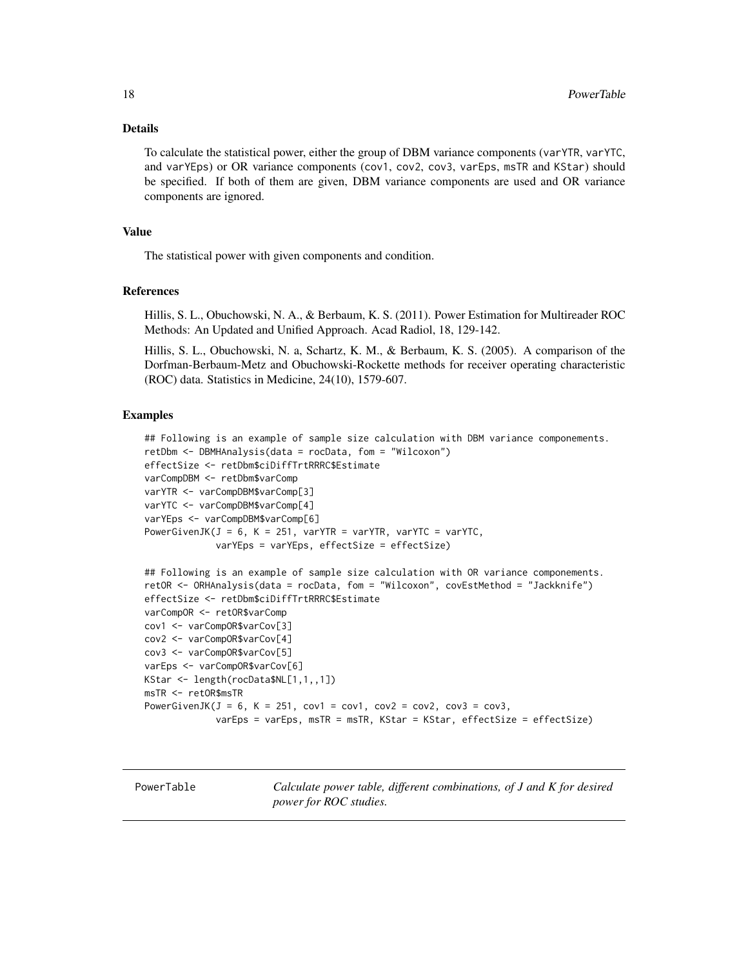#### <span id="page-17-0"></span>Details

To calculate the statistical power, either the group of DBM variance components (varYTR, varYTC, and varYEps) or OR variance components (cov1, cov2, cov3, varEps, msTR and KStar) should be specified. If both of them are given, DBM variance components are used and OR variance components are ignored.

#### Value

The statistical power with given components and condition.

#### References

Hillis, S. L., Obuchowski, N. A., & Berbaum, K. S. (2011). Power Estimation for Multireader ROC Methods: An Updated and Unified Approach. Acad Radiol, 18, 129-142.

Hillis, S. L., Obuchowski, N. a, Schartz, K. M., & Berbaum, K. S. (2005). A comparison of the Dorfman-Berbaum-Metz and Obuchowski-Rockette methods for receiver operating characteristic (ROC) data. Statistics in Medicine, 24(10), 1579-607.

#### Examples

```
## Following is an example of sample size calculation with DBM variance componements.
retDbm <- DBMHAnalysis(data = rocData, fom = "Wilcoxon")
effectSize <- retDbm$ciDiffTrtRRRC$Estimate
varCompDBM <- retDbm$varComp
varYTR <- varCompDBM$varComp[3]
varYTC <- varCompDBM$varComp[4]
varYEps <- varCompDBM$varComp[6]
PowerGivenJK(J = 6, K = 251, varYTR = varYTR, varYTC = varYTC,
             varYEps = varYEps, effectSize = effectSize)
## Following is an example of sample size calculation with OR variance componements.
retOR <- ORHAnalysis(data = rocData, fom = "Wilcoxon", covEstMethod = "Jackknife")
effectSize <- retDbm$ciDiffTrtRRRC$Estimate
varCompOR <- retOR$varComp
cov1 <- varCompOR$varCov[3]
cov2 <- varCompOR$varCov[4]
cov3 <- varCompOR$varCov[5]
varEps <- varCompOR$varCov[6]
KStar <- length(rocData$NL[1,1,,1])
msTR <- retOR$msTR
PowerGivenJK(J = 6, K = 251, cov1 = cov1, cov2 = cov2, cov3 = cov3,
             varEps = varEps, msTR = msTR, KStar = KStar, effectSize = effectSize)
```
<span id="page-17-1"></span>PowerTable *Calculate power table, different combinations, of J and K for desired power for ROC studies.*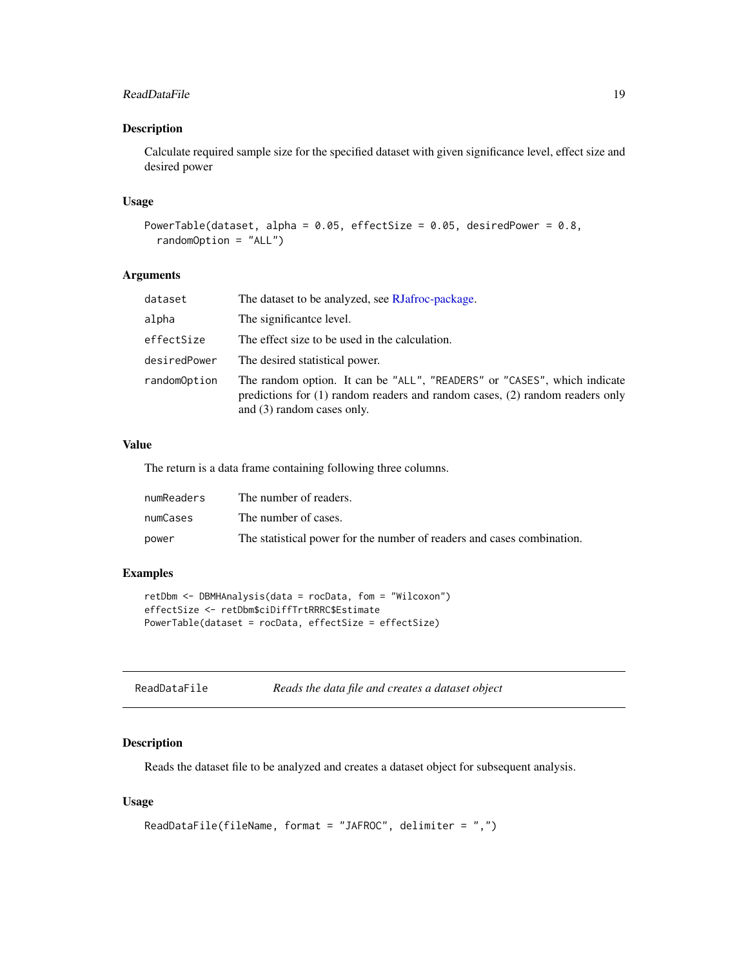#### <span id="page-18-0"></span>ReadDataFile 19

#### Description

Calculate required sample size for the specified dataset with given significance level, effect size and desired power

#### Usage

```
PowerTable(dataset, alpha = 0.05, effectSize = 0.05, desiredPower = 0.8,
  randomOption = "ALL")
```
#### Arguments

| dataset      | The dataset to be analyzed, see RJafroc-package.                                                                                                                                           |
|--------------|--------------------------------------------------------------------------------------------------------------------------------------------------------------------------------------------|
| alpha        | The significant ce level.                                                                                                                                                                  |
| effectSize   | The effect size to be used in the calculation.                                                                                                                                             |
| desiredPower | The desired statistical power.                                                                                                                                                             |
| randomOption | The random option. It can be "ALL", "READERS" or "CASES", which indicate<br>predictions for $(1)$ random readers and random cases, $(2)$ random readers only<br>and (3) random cases only. |

#### Value

The return is a data frame containing following three columns.

| numReaders | The number of readers.                                                 |
|------------|------------------------------------------------------------------------|
| numCases   | The number of cases.                                                   |
| power      | The statistical power for the number of readers and cases combination. |

#### Examples

```
retDbm <- DBMHAnalysis(data = rocData, fom = "Wilcoxon")
effectSize <- retDbm$ciDiffTrtRRRC$Estimate
PowerTable(dataset = rocData, effectSize = effectSize)
```
<span id="page-18-1"></span>

| ReadDataFile | Reads the data file and creates a dataset object |  |
|--------------|--------------------------------------------------|--|
|--------------|--------------------------------------------------|--|

#### Description

Reads the dataset file to be analyzed and creates a dataset object for subsequent analysis.

```
ReadDataFile(fileName, format = "JAFROC", delimiter = ",")
```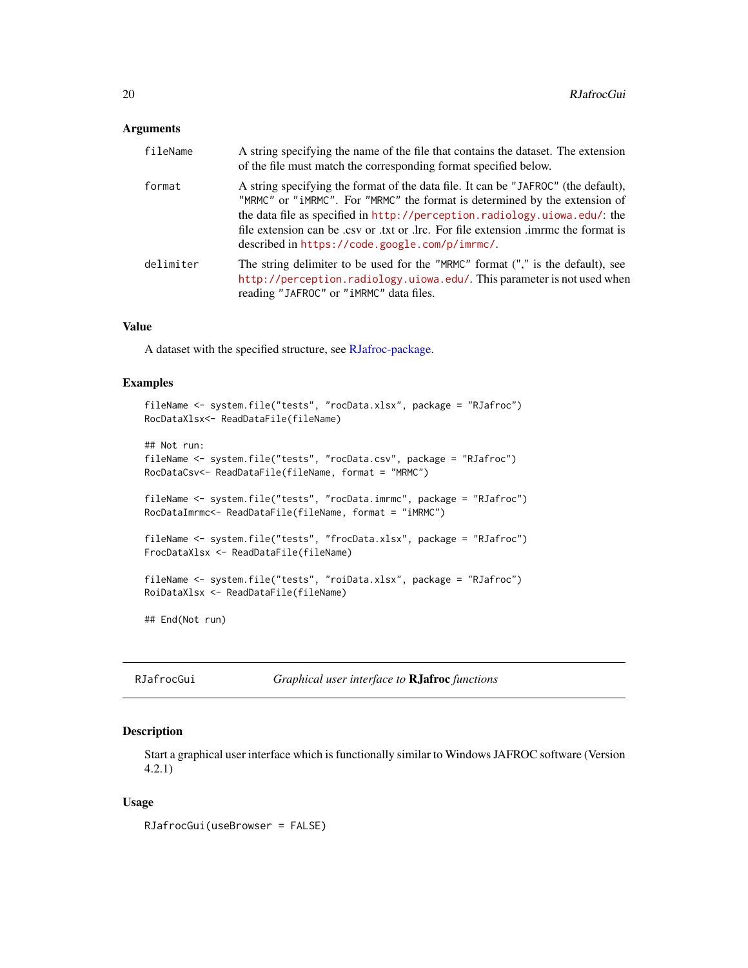#### <span id="page-19-0"></span>**Arguments**

| fileName  | A string specifying the name of the file that contains the dataset. The extension<br>of the file must match the corresponding format specified below.                                                                                                                                                                                                                                 |
|-----------|---------------------------------------------------------------------------------------------------------------------------------------------------------------------------------------------------------------------------------------------------------------------------------------------------------------------------------------------------------------------------------------|
| format    | A string specifying the format of the data file. It can be "JAFROC" (the default),<br>"MRMC" or "iMRMC". For "MRMC" the format is determined by the extension of<br>the data file as specified in http://perception.radiology.uiowa.edu/: the<br>file extension can be .csv or .txt or .lrc. For file extension .imme the format is<br>described in https://code.google.com/p/imrmc/. |
| delimiter | The string delimiter to be used for the "MRMC" format ("," is the default), see<br>http://perception.radiology.uiowa.edu/. This parameter is not used when<br>reading "JAFROC" or "iMRMC" data files.                                                                                                                                                                                 |

#### Value

A dataset with the specified structure, see [RJafroc-package.](#page-1-1)

#### Examples

```
fileName <- system.file("tests", "rocData.xlsx", package = "RJafroc")
RocDataXlsx<- ReadDataFile(fileName)
## Not run:
fileName <- system.file("tests", "rocData.csv", package = "RJafroc")
RocDataCsv<- ReadDataFile(fileName, format = "MRMC")
fileName <- system.file("tests", "rocData.imrmc", package = "RJafroc")
RocDataImrmc<- ReadDataFile(fileName, format = "iMRMC")
fileName <- system.file("tests", "frocData.xlsx", package = "RJafroc")
FrocDataXlsx <- ReadDataFile(fileName)
fileName <- system.file("tests", "roiData.xlsx", package = "RJafroc")
RoiDataXlsx <- ReadDataFile(fileName)
## End(Not run)
```
RJafrocGui *Graphical user interface to* RJafroc *functions*

#### Description

Start a graphical user interface which is functionally similar to Windows JAFROC software (Version 4.2.1)

#### Usage

RJafrocGui(useBrowser = FALSE)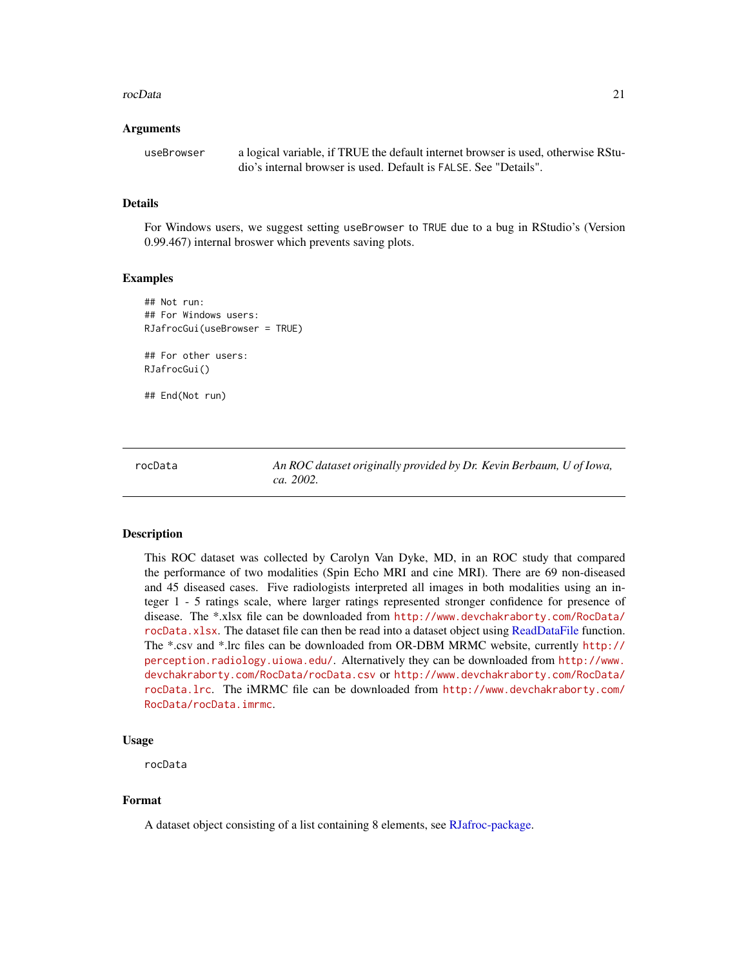#### <span id="page-20-0"></span>rocData 21

#### Arguments

useBrowser a logical variable, if TRUE the default internet browser is used, otherwise RStudio's internal browser is used. Default is FALSE. See "Details".

#### Details

For Windows users, we suggest setting useBrowser to TRUE due to a bug in RStudio's (Version 0.99.467) internal broswer which prevents saving plots.

#### Examples

```
## Not run:
## For Windows users:
RJafrocGui(useBrowser = TRUE)
```
## For other users: RJafrocGui()

## End(Not run)

rocData *An ROC dataset originally provided by Dr. Kevin Berbaum, U of Iowa, ca. 2002.*

#### Description

This ROC dataset was collected by Carolyn Van Dyke, MD, in an ROC study that compared the performance of two modalities (Spin Echo MRI and cine MRI). There are 69 non-diseased and 45 diseased cases. Five radiologists interpreted all images in both modalities using an integer 1 - 5 ratings scale, where larger ratings represented stronger confidence for presence of disease. The \*.xlsx file can be downloaded from [http://www.devchakraborty.com/RocData/](http://www.devchakraborty.com/RocData/rocData.xlsx) [rocData.xlsx](http://www.devchakraborty.com/RocData/rocData.xlsx). The dataset file can then be read into a dataset object using [ReadDataFile](#page-18-1) function. The \*.csv and \*.lrc files can be downloaded from OR-DBM MRMC website, currently [http://](http://perception.radiology.uiowa.edu/) [perception.radiology.uiowa.edu/](http://perception.radiology.uiowa.edu/). Alternatively they can be downloaded from [http://www.](http://www.devchakraborty.com/RocData/rocData.csv) [devchakraborty.com/RocData/rocData.csv](http://www.devchakraborty.com/RocData/rocData.csv) or [http://www.devchakraborty.com/RocData/](http://www.devchakraborty.com/RocData/rocData.lrc) [rocData.lrc](http://www.devchakraborty.com/RocData/rocData.lrc). The iMRMC file can be downloaded from [http://www.devchakraborty.com/](http://www.devchakraborty.com/RocData/rocData.imrmc) [RocData/rocData.imrmc](http://www.devchakraborty.com/RocData/rocData.imrmc).

#### Usage

rocData

#### Format

A dataset object consisting of a list containing 8 elements, see [RJafroc-package.](#page-1-1)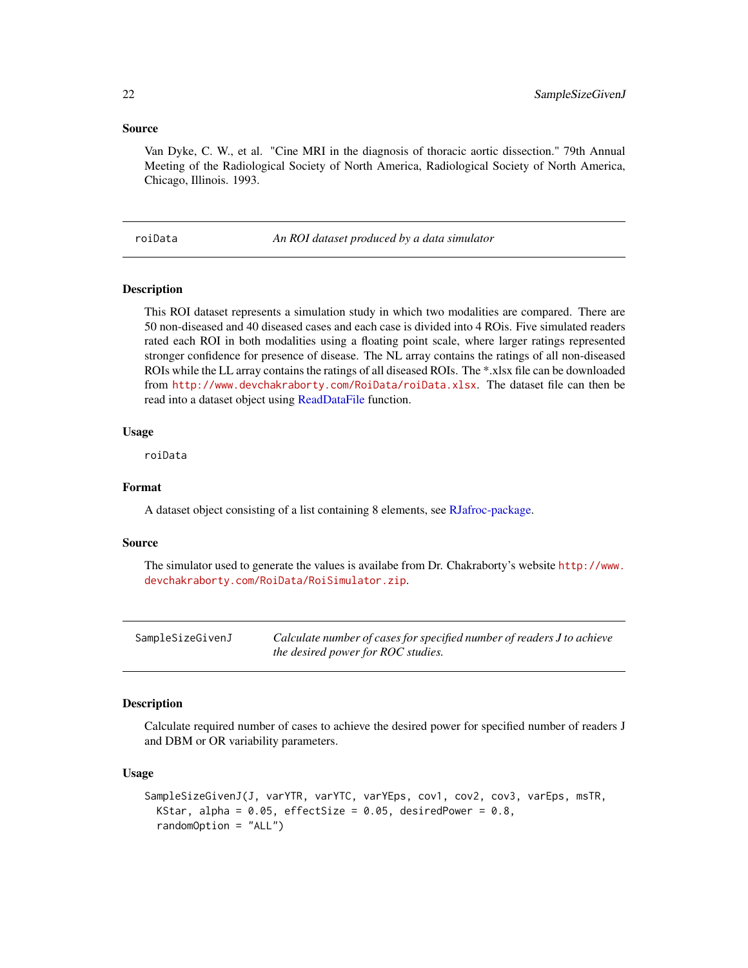#### <span id="page-21-0"></span>Source

Van Dyke, C. W., et al. "Cine MRI in the diagnosis of thoracic aortic dissection." 79th Annual Meeting of the Radiological Society of North America, Radiological Society of North America, Chicago, Illinois. 1993.

roiData *An ROI dataset produced by a data simulator*

#### Description

This ROI dataset represents a simulation study in which two modalities are compared. There are 50 non-diseased and 40 diseased cases and each case is divided into 4 ROis. Five simulated readers rated each ROI in both modalities using a floating point scale, where larger ratings represented stronger confidence for presence of disease. The NL array contains the ratings of all non-diseased ROIs while the LL array contains the ratings of all diseased ROIs. The \*.xlsx file can be downloaded from <http://www.devchakraborty.com/RoiData/roiData.xlsx>. The dataset file can then be read into a dataset object using [ReadDataFile](#page-18-1) function.

#### Usage

roiData

#### Format

A dataset object consisting of a list containing 8 elements, see [RJafroc-package.](#page-1-1)

#### Source

The simulator used to generate the values is availabe from Dr. Chakraborty's website [http://www.](http://www.devchakraborty.com/RoiData/RoiSimulator.zip) [devchakraborty.com/RoiData/RoiSimulator.zip](http://www.devchakraborty.com/RoiData/RoiSimulator.zip).

<span id="page-21-1"></span>

| SampleSizeGivenJ | Calculate number of cases for specified number of readers J to achieve |
|------------------|------------------------------------------------------------------------|
|                  | the desired power for ROC studies.                                     |

#### Description

Calculate required number of cases to achieve the desired power for specified number of readers J and DBM or OR variability parameters.

```
SampleSizeGivenJ(J, varYTR, varYTC, varYEps, cov1, cov2, cov3, varEps, msTR,
 KStar, alpha = 0.05, effectSize = 0.05, desiredPower = 0.8,
  randomOption = "ALL")
```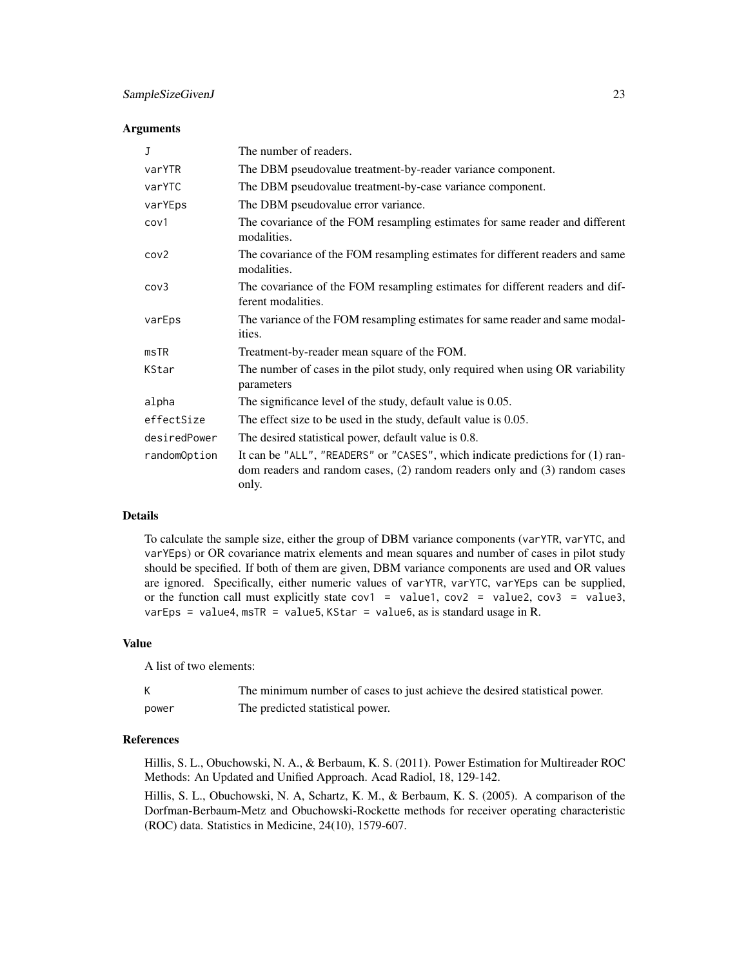#### SampleSizeGivenJ 23

#### **Arguments**

| $\mathbf{J}$     | The number of readers.                                                                                                                                                |
|------------------|-----------------------------------------------------------------------------------------------------------------------------------------------------------------------|
| varYTR           | The DBM pseudovalue treatment-by-reader variance component.                                                                                                           |
| varYTC           | The DBM pseudovalue treatment-by-case variance component.                                                                                                             |
| varYEps          | The DBM pseudovalue error variance.                                                                                                                                   |
| cov1             | The covariance of the FOM resampling estimates for same reader and different<br>modalities.                                                                           |
| cov <sub>2</sub> | The covariance of the FOM resampling estimates for different readers and same<br>modalities.                                                                          |
| cov3             | The covariance of the FOM resampling estimates for different readers and dif-<br>ferent modalities.                                                                   |
| varEps           | The variance of the FOM resampling estimates for same reader and same modal-<br>ities.                                                                                |
| msTR             | Treatment-by-reader mean square of the FOM.                                                                                                                           |
| KStar            | The number of cases in the pilot study, only required when using OR variability<br>parameters                                                                         |
| alpha            | The significance level of the study, default value is 0.05.                                                                                                           |
| effectSize       | The effect size to be used in the study, default value is 0.05.                                                                                                       |
| desiredPower     | The desired statistical power, default value is 0.8.                                                                                                                  |
| randomOption     | It can be "ALL", "READERS" or "CASES", which indicate predictions for (1) ran-<br>dom readers and random cases, (2) random readers only and (3) random cases<br>only. |

#### Details

To calculate the sample size, either the group of DBM variance components (varYTR, varYTC, and varYEps) or OR covariance matrix elements and mean squares and number of cases in pilot study should be specified. If both of them are given, DBM variance components are used and OR values are ignored. Specifically, either numeric values of varYTR, varYTC, varYEps can be supplied, or the function call must explicitly state  $cov1 = value1$ ,  $cov2 = value2$ ,  $cov3 = value3$ , varEps = value4, msTR = value5, KStar = value6, as is standard usage in R.

#### Value

A list of two elements:

|       | The minimum number of cases to just achieve the desired statistical power. |
|-------|----------------------------------------------------------------------------|
| power | The predicted statistical power.                                           |

#### References

Hillis, S. L., Obuchowski, N. A., & Berbaum, K. S. (2011). Power Estimation for Multireader ROC Methods: An Updated and Unified Approach. Acad Radiol, 18, 129-142.

Hillis, S. L., Obuchowski, N. A, Schartz, K. M., & Berbaum, K. S. (2005). A comparison of the Dorfman-Berbaum-Metz and Obuchowski-Rockette methods for receiver operating characteristic (ROC) data. Statistics in Medicine, 24(10), 1579-607.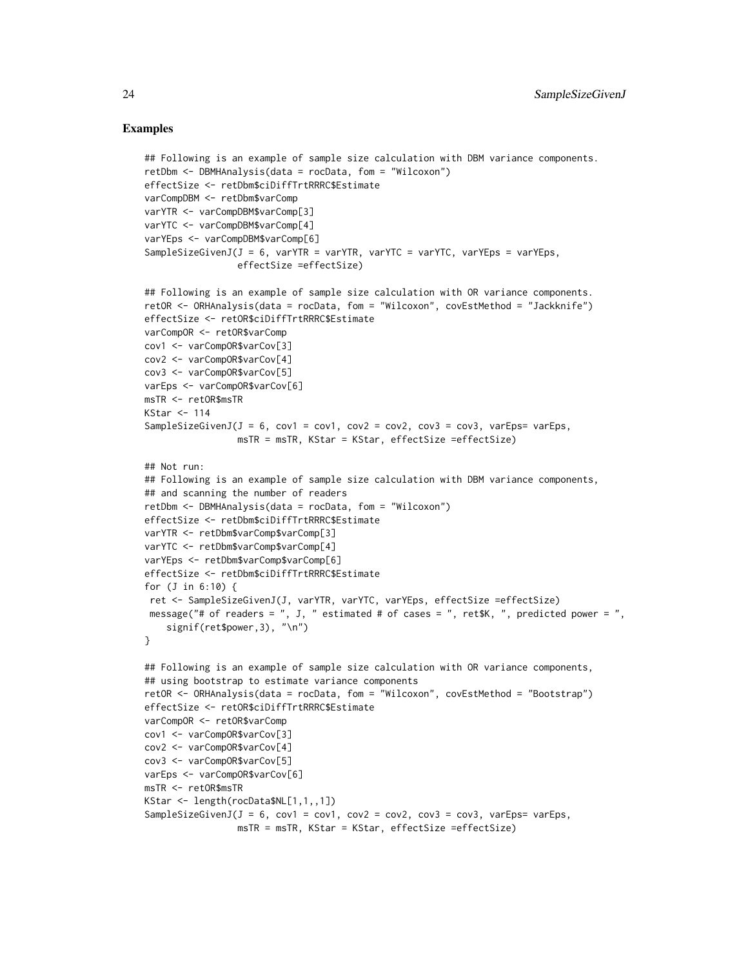#### Examples

```
## Following is an example of sample size calculation with DBM variance components.
retDbm <- DBMHAnalysis(data = rocData, fom = "Wilcoxon")
effectSize <- retDbm$ciDiffTrtRRRC$Estimate
varCompDBM <- retDbm$varComp
varYTR <- varCompDBM$varComp[3]
varYTC <- varCompDBM$varComp[4]
varYEps <- varCompDBM$varComp[6]
SampleSizeGivenJ(J = 6, varYTR = varYTR, varYTC = varYTC, varYEps = varYEps,
                 effectSize =effectSize)
## Following is an example of sample size calculation with OR variance components.
retOR <- ORHAnalysis(data = rocData, fom = "Wilcoxon", covEstMethod = "Jackknife")
effectSize <- retOR$ciDiffTrtRRRC$Estimate
varCompOR <- retOR$varComp
cov1 <- varCompOR$varCov[3]
cov2 <- varCompOR$varCov[4]
cov3 <- varCompOR$varCov[5]
varEps <- varCompOR$varCov[6]
msTR <- retOR$msTR
KStar <-114SampleSizeGivenJ(J = 6, cov1 = cov1, cov2 = cov2, cov3 = cov3, varEps= varEps,
                 msTR = msTR, KStar = KStar, effectSize =effectSize)
## Not run:
## Following is an example of sample size calculation with DBM variance components,
## and scanning the number of readers
retDbm <- DBMHAnalysis(data = rocData, fom = "Wilcoxon")
effectSize <- retDbm$ciDiffTrtRRRC$Estimate
varYTR <- retDbm$varComp$varComp[3]
varYTC <- retDbm$varComp$varComp[4]
varYEps <- retDbm$varComp$varComp[6]
effectSize <- retDbm$ciDiffTrtRRRC$Estimate
for (J in 6:10) {
 ret <- SampleSizeGivenJ(J, varYTR, varYTC, varYEps, effectSize =effectSize)
message("# of readers = ", J, " estimated # of cases = ", ret$K, ", predicted power = ",
    signif(ret$power,3), "\n")
}
## Following is an example of sample size calculation with OR variance components,
## using bootstrap to estimate variance components
retOR <- ORHAnalysis(data = rocData, fom = "Wilcoxon", covEstMethod = "Bootstrap")
effectSize <- retOR$ciDiffTrtRRRC$Estimate
varCompOR <- retOR$varComp
cov1 <- varCompOR$varCov[3]
cov2 <- varCompOR$varCov[4]
cov3 <- varCompOR$varCov[5]
varEps <- varCompOR$varCov[6]
msTR <- retOR$msTR
KStar <- length(rocData$NL[1,1,,1])
SampleSizeGivenJ(J = 6, cov1 = cov1, cov2 = cov2, cov3 = cov3, varEps= varEps,
                 msTR = msTR, KStar = KStar, effectSize =effectSize)
```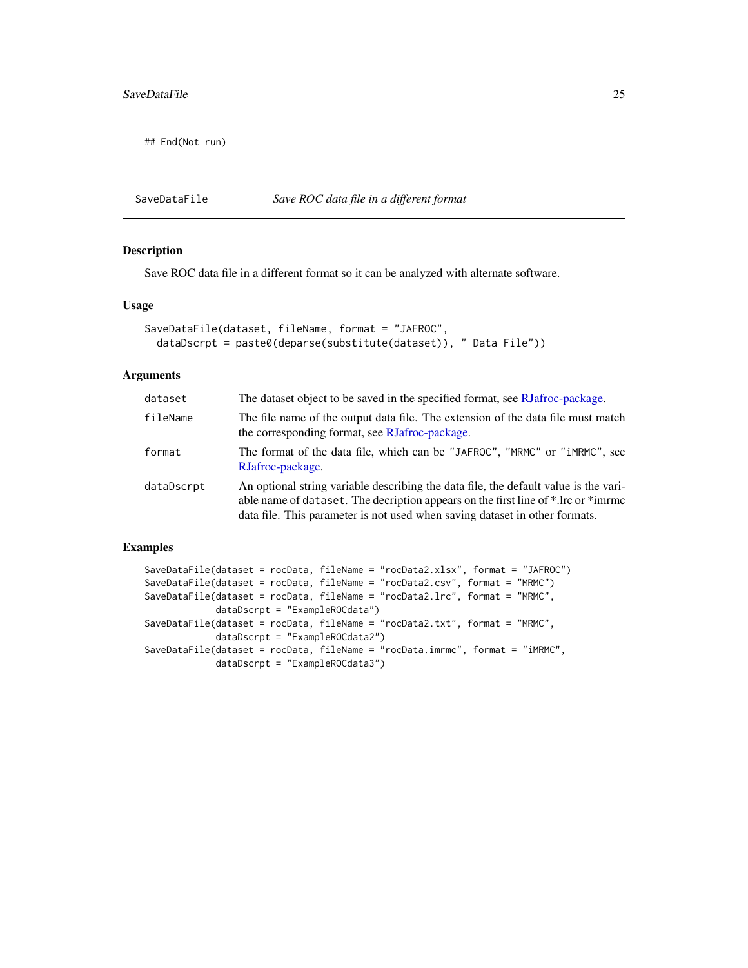<span id="page-24-0"></span>## End(Not run)

#### <span id="page-24-1"></span>SaveDataFile *Save ROC data file in a different format*

#### Description

Save ROC data file in a different format so it can be analyzed with alternate software.

#### Usage

```
SaveDataFile(dataset, fileName, format = "JAFROC",
  dataDscrpt = paste0(deparse(substitute(dataset)), " Data File"))
```
#### Arguments

| dataset    | The dataset object to be saved in the specified format, see RJafroc-package.                                                                                                                                                                              |
|------------|-----------------------------------------------------------------------------------------------------------------------------------------------------------------------------------------------------------------------------------------------------------|
| fileName   | The file name of the output data file. The extension of the data file must match<br>the corresponding format, see RJafroc-package.                                                                                                                        |
| format     | The format of the data file, which can be "JAFROC", "MRMC" or "iMRMC", see<br>RJafroc-package.                                                                                                                                                            |
| dataDscrpt | An optional string variable describing the data file, the default value is the vari-<br>able name of dataset. The decription appears on the first line of *.lrc or *immers<br>data file. This parameter is not used when saving dataset in other formats. |

#### Examples

```
SaveDataFile(dataset = rocData, fileName = "rocData2.xlsx", format = "JAFROC")
SaveDataFile(dataset = rocData, fileName = "rocData2.csv", format = "MRMC")
SaveDataFile(dataset = rocData, fileName = "rocData2.lrc", format = "MRMC",
            dataDscrpt = "ExampleROCdata")
SaveDataFile(dataset = rocData, fileName = "rocData2.txt", format = "MRMC",
            dataDscrpt = "ExampleROCdata2")
SaveDataFile(dataset = rocData, fileName = "rocData.imrmc", format = "iMRMC",
            dataDscrpt = "ExampleROCdata3")
```